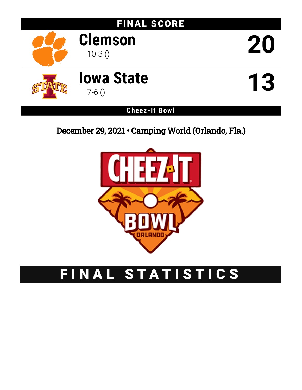

December 29, 2021 • Camping World (Orlando, Fla.)



# FINAL STATISTICS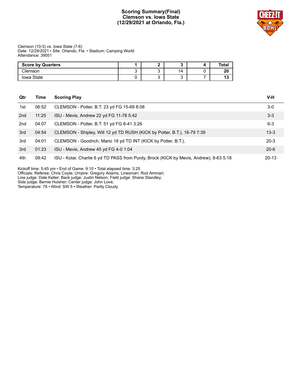# **Scoring Summary(Final) Clemson vs. Iowa State (12/29/2021 at Orlando, Fla.)**



Clemson (10-3) vs. Iowa State (7-6) Date: 12/29/2021 • Site: Orlando, Fla. • Stadium: Camping World Attendance: 39051

| <b>Score by Quarters</b> |  |    | Total |
|--------------------------|--|----|-------|
| Clemson                  |  | 14 | 20    |
| Iowa State               |  |    | ''    |

| Qtr | Time  | <b>Scoring Play</b>                                                                    | V-H       |
|-----|-------|----------------------------------------------------------------------------------------|-----------|
| 1st | 06:52 | CLEMSON - Potter, B.T. 23 yd FG 15-69 8:08                                             | $3-0$     |
| 2nd | 11:25 | ISU - Mevis, Andrew 22 yd FG 11-78 5:42                                                | $3 - 3$   |
| 2nd | 04:07 | CLEMSON - Potter, B.T. 51 yd FG 8-41 3:26                                              | $6 - 3$   |
| 3rd | 04:54 | CLEMSON - Shipley, Will 12 yd TD RUSH (KICK by Potter, B.T.), 16-79 7:39               | $13 - 3$  |
| 3rd | 04:01 | CLEMSON - Goodrich, Mario 18 yd TD INT (KICK by Potter, B.T.),                         | $20-3$    |
| 3rd | 01:23 | ISU - Mevis, Andrew 45 yd FG 4-0 1:04                                                  | $20 - 6$  |
| 4th | 09:42 | ISU - Kolar, Charlie 6 yd TD PASS from Purdy, Brock (KICK by Mevis, Andrew), 8-63 5:18 | $20 - 13$ |

Kickoff time: 5:45 pm • End of Game: 9:10 • Total elapsed time: 3:25

Officials: Referee: Chris Coyte; Umpire: Gregory Adams; Linesman: Rod Ammari;

Line judge: Dale Keller; Back judge: Justin Nelson; Field judge: Shane Standley;

Side judge: Bernie Hulsher; Center judge: John Love;

Temperature: 78 • Wind: SW 5 • Weather: Partly Cloudy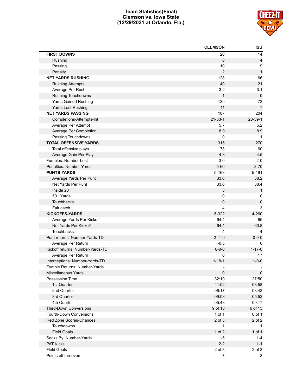# **Team Statistics(Final) Clemson vs. Iowa State (12/29/2021 at Orlando, Fla.)**



|                                  | <b>CLEMSON</b> | <b>ISU</b>     |
|----------------------------------|----------------|----------------|
| <b>FIRST DOWNS</b>               | 20             | 14             |
| Rushing                          | 8              | 4              |
| Passing                          | 10             | 9              |
| Penalty                          | $\overline{2}$ | $\mathbf{1}$   |
| <b>NET YARDS RUSHING</b>         | 128            | 66             |
| <b>Rushing Attempts</b>          | 40             | 21             |
| Average Per Rush                 | 3.2            | 3.1            |
| <b>Rushing Touchdowns</b>        | $\mathbf{1}$   | $\mathbf 0$    |
| <b>Yards Gained Rushing</b>      | 139            | 73             |
| Yards Lost Rushing               | 11             | $\overline{7}$ |
| <b>NET YARDS PASSING</b>         | 187            | 204            |
| Completions-Attempts-Int         | $21 - 33 - 1$  | $23-39-1$      |
| Average Per Attempt              | 5.7            | 5.2            |
| Average Per Completion           | 8.9            | 8.9            |
| Passing Touchdowns               | 0              | $\mathbf 1$    |
| <b>TOTAL OFFENSIVE YARDS</b>     | 315            | 270            |
| Total offensive plays            | 73             | 60             |
| Average Gain Per Play            | 4.3            | 4.5            |
| Fumbles: Number-Lost             | $0-0$          | $2 - 0$        |
| Penalties: Number-Yards          | $5 - 60$       | $8 - 70$       |
| <b>PUNTS-YARDS</b>               | 5-168          | 5-191          |
| Average Yards Per Punt           | 33.6           | 38.2           |
| Net Yards Per Punt               | 33.6           | 38.4           |
| Inside 20                        | 3              | $\mathbf{1}$   |
| 50+ Yards                        | 0              | 0              |
| Touchbacks                       | 0              | $\pmb{0}$      |
| Fair catch                       | 4              | 3              |
| <b>KICKOFFS-YARDS</b>            | 5-322          | 4-260          |
| Average Yards Per Kickoff        | 64.4           | 65             |
| Net Yards Per Kickoff            | 64.4           | 60.8           |
| Touchbacks                       | 4              |                |
| Punt returns: Number-Yards-TD    | $2 - 1 - 0$    | $0 - 0 - 0$    |
| Average Per Return               | $-0.5$         | 0              |
| Kickoff returns: Number-Yards-TD | $0 - 0 - 0$    | $1 - 17 - 0$   |
| Average Per Return               | 0              | 17             |
| Interceptions: Number-Yards-TD   | $1 - 18 - 1$   | $1 - 0 - 0$    |
| Fumble Returns: Number-Yards     |                |                |
| Miscellaneous Yards              | $\pmb{0}$      | $\mathbf 0$    |
| Possession Time                  | 32:10          | 27:50          |
| 1st Quarter                      | 11:02          | 03:58          |
| 2nd Quarter                      | 06:17          | 08:43          |
| 3rd Quarter                      | 09:08          | 05:52          |
| 4th Quarter                      | 05:43          | 09:17          |
| <b>Third-Down Conversions</b>    | 9 of 18        | 6 of 15        |
| Fourth-Down Conversions          | 1 of 1         | 0 of 1         |
| Red Zone Scores-Chances          | 2 of 3         | 2 of 2         |
| Touchdowns                       | 1              | $\mathbf{1}$   |
| <b>Field Goals</b>               | $1$ of $2$     | $1$ of $1$     |
| Sacks By: Number-Yards           | $1 - 5$        | 1-4            |
| PAT Kicks                        | $2 - 2$        | $1 - 1$        |
| <b>Field Goals</b>               | $2$ of $3$     | $2$ of $3$     |
| Points off turnovers             | $\overline{7}$ | 3              |
|                                  |                |                |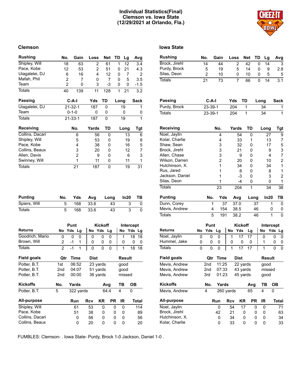# **Individual Statistics(Final) Clemson vs. Iowa State (12/29/2021 at Orlando, Fla.)**



#### **Clemson Iowa State**

| <b>Rushing</b>                | No.                 | Gain                 | Loss                 | <b>Net</b>       | TD     | Lg             |     | Avg            |
|-------------------------------|---------------------|----------------------|----------------------|------------------|--------|----------------|-----|----------------|
| Shipley, Will                 | 18                  | 63                   | 2                    | 61               | 1      | 12             |     | 3.4            |
| Pace, Kobe                    | 12                  | 53                   | 2                    | 51               | 0      | 21             |     | 4.3            |
| Uiagalelei, DJ                | 6                   | 16                   | 4                    | 12               | 0      |                | 7   | $\overline{2}$ |
| Mafah, Phil                   | $\overline{2}$      | 7                    | 0                    | 7                | 0      |                | 5   | 3.5            |
| Team                          | $\overline{2}$      | 0                    | 3                    | -3               | 0      |                | 0   | $-1.5$         |
| <b>Totals</b>                 | 40                  | 139                  | 11                   | 128              | 1      | 21             |     | 3.2            |
| <b>Passing</b>                |                     | $C-A-I$              | Yds                  | TD               |        | Long           |     | Sack           |
| Uiagalelei, DJ                |                     | $21 - 32 - 1$        | 187                  | 0                |        | 19             |     | 1              |
| Team                          |                     | $0 - 1 - 0$          | 0                    | 0                |        | 0              |     | 0              |
| <b>Totals</b>                 |                     | $21 - 33 - 1$        | 187                  | 0                |        | 19             |     | 1              |
| Receiving                     |                     | No.                  | Yards                | TD               |        | Long           |     | Tgt            |
| Collins, Dacari               |                     | 6                    | 56                   | 0                |        |                | 13  | 6              |
| Shipley, Will                 |                     | 5                    | 53                   | 0                |        |                | 19  | 8              |
| Pace, Kobe                    |                     | 4                    | 38                   | 0                |        |                | 16  | 5              |
| Collins, Beaux                |                     | 3                    | 20                   | 0                |        |                | 12  | $\overline{7}$ |
| Allen, Davis                  |                     | $\overline{2}$       | 9                    | 0                |        |                | 6   | 3              |
| Swinney, Will                 |                     | 1                    | 11                   | 0                |        |                | 11  | 1              |
| <b>Totals</b>                 |                     | 21                   | 187                  | 0                |        |                | 19  | 31             |
|                               |                     |                      |                      |                  |        |                |     |                |
| <b>Punting</b>                | No.                 | Yds                  | Avg                  | Long             |        | In20           |     | ΤВ             |
| Spiers, Will                  | 5                   | 168                  | 33.6                 | 43               |        |                | 3   | 0              |
| <b>Totals</b>                 | 5                   | 168                  | 33.6                 | 43               |        |                | 3   | 0              |
|                               |                     |                      |                      |                  |        |                |     |                |
|                               |                     | Punt                 |                      | Kickoff          |        | Intercept      |     |                |
| Returns                       | No                  | Yds<br>Lg            | Yds<br>No            | Lg               |        | No             | Yds | Lg             |
| Goodrich, Mario               | 0                   | 0<br>0               | 0                    | 0<br>0           |        | 1              | 18  | 18             |
| Brown, Will<br><b>Totals</b>  | 2<br>$\overline{2}$ | -1<br>1<br>$-1$<br>1 | 0<br>0               | 0<br>0<br>0<br>0 |        | 0<br>1         | 18  | 0<br>0         |
|                               |                     |                      |                      |                  |        |                |     | 18             |
| <b>Field goals</b>            | Qtr                 | Time                 | <b>Dist</b>          |                  |        | <b>Result</b>  |     |                |
| Potter, B.T.                  | 1st                 | 06:52                | 23 yards             |                  |        | good           |     |                |
| Potter, B.T.<br>Potter, B.T.  | 2nd<br>2nd          | 04:07<br>00:00       | 51 yards<br>36 yards |                  |        | good<br>missed |     |                |
| <b>Kickoffs</b>               | No.                 | <b>Yards</b>         |                      |                  |        | TВ             | OВ  |                |
| Potter, B.T.                  | 5                   | 322 yards            |                      | Avg<br>64.4      |        | 4              | 0   |                |
| All-purpose                   |                     | Run                  | <b>Rcv</b>           | <b>KR</b>        | PR     | IR             |     | Total          |
|                               |                     |                      |                      |                  |        |                |     |                |
| Shipley, Will                 |                     | 61                   | 53                   | 0                | 0      | 0              |     | 114            |
| Pace, Kobe<br>Collins, Dacari |                     | 51<br>0              | 38<br>56             | 0<br>0           | 0<br>0 | 0<br>0         |     | 89<br>56       |

| <b>Rushing</b>     |    | No.            | Gain           | Loss       |                | <b>Net</b> | TD   |      | Lg     | Avg            |
|--------------------|----|----------------|----------------|------------|----------------|------------|------|------|--------|----------------|
| Brock, Jirehl      |    | 14             | 44             |            | 2              | 42         |      | 0    | 14     | 3              |
| Purdy, Brock       |    | 5              | 19             |            | 5              | 14         |      | 0    | 9      | 2.8            |
| Silas, Deon        |    | $\overline{2}$ | 10             |            | 0              | 10         |      | 0    | 5      | 5              |
| <b>Totals</b>      |    | 21             | 73             |            | 7              | 66         |      | 0    | 14     | 3.1            |
|                    |    |                |                |            |                |            |      |      |        |                |
| Passing            |    | $C-A-I$        |                | Yds        |                | TD         |      | Long |        | Sack           |
| Purdy, Brock       |    | 23-39-1        |                | 204        |                | 1          |      | 34   |        | 1              |
| <b>Totals</b>      |    | 23-39-1        |                | 204        |                | 1          |      | 34   |        | $\mathbf{1}$   |
|                    |    |                |                |            |                |            |      |      |        |                |
| Receiving          |    |                | No.            |            | Yards          | TD         |      | Long |        | Tgt            |
| Noel, Jaylin       |    |                | 4              |            | 54             | 0          |      |      | 27     | 9              |
| Kolar, Charlie     |    |                | 4              |            | 33             | 1          |      |      | 13     | 7              |
| Shaw, Sean         |    |                | 3              |            | 32             | 0          |      |      | 17     | 5              |
| Brock, Jirehl      |    |                | 3              |            | 21             | 0          |      |      | 9      | 3              |
| Allen, Chase       |    |                | 3              |            | 9              | 0          |      |      | 4      | 7              |
| Wilson, Darren     |    |                | $\overline{c}$ |            | 20             | 0          |      |      | 10     | 2              |
| Hutchinson, X.     |    |                | 1              |            | 34             | 0          |      |      | 34     | 1              |
| Rus, Jared         |    |                | 1              |            | 8              | 0          |      |      | 8      | 1              |
| Jackson, Daniel    |    |                | 1              |            | $-3$           | 0          |      |      | 3      | $\overline{2}$ |
| Silas, Deon        |    |                | 1              |            | -4             | 0          |      |      | 0      | 1              |
| <b>Totals</b>      |    |                | 23             |            | 204            | 1          |      |      | 34     | 38             |
| <b>Punting</b>     |    | No.            | Yds            |            | Avg            |            | Long |      | In20   | TВ             |
| Dunn, Corey        |    | 1              | 37             |            | 37.0           |            | 37   |      | 1      | 0              |
| Mevis, Andrew      |    | 4              | 154            |            | 38.5           |            | 46   |      | 0      | 0              |
| <b>Totals</b>      |    | 5              | 191            |            | 38.2           |            | 46   |      | 1      | 0              |
|                    |    | Punt           |                |            | <b>Kickoff</b> |            |      |      |        | Intercept      |
| <b>Returns</b>     | No | Yds            | Lg             | No         | Yds            | Lg         |      | No   | Yds    | Lg             |
| Noel, Jaylin       | 0  | 0              | 0              | 1          | 17             | 17         |      | 0    |        | 0<br>0         |
| Hummel, Jake       | 0  | 0              | 0              | 0          | 0              | 0          |      | 1    |        | 0<br>0         |
| <b>Totals</b>      | 0  | 0              | 0              | 1          | 17             | 17         |      | 1    |        | 0<br>0         |
| <b>Field goals</b> |    | Qtr            | <b>Time</b>    |            | Dist           |            |      |      | Result |                |
| Mevis, Andrew      |    | 2nd            | 11:25          |            | 22 yards       |            |      | good |        |                |
| Mevis, Andrew      |    | 2nd            | 07:33          |            | 43 yards       |            |      |      | missed |                |
| Mevis, Andrew      |    | 3rd            | 01:23          |            | 45 yards       |            |      |      | good   |                |
| <b>Kickoffs</b>    |    | No.            | Yards          |            |                | Avg        |      | TВ   |        | <b>OB</b>      |
| Mevis, Andrew      |    | 4              | 260 yards      |            |                | 65         |      | 4    |        | 0              |
| All-purpose        |    |                | Run            | <b>Rcv</b> | KR             |            | PR   | IR   |        | <b>Total</b>   |
| Noel, Jaylin       |    |                | 0              | 54         |                | 17         | 0    | 0    |        | 71             |
| Brock, Jirehl      |    |                | 42             | 21         |                | 0          | 0    | 0    |        | 63             |
| Hutchinson, X.     |    |                | 0              | 34         |                | 0          | 0    | 0    |        | 34             |
| Kolar, Charlie     |    |                | 0              | 33         |                | 0          | 0    | 0    |        | 33             |

FUMBLES: Clemson- . Iowa State- Purdy, Brock 1-0 Jackson, Daniel 1-0 .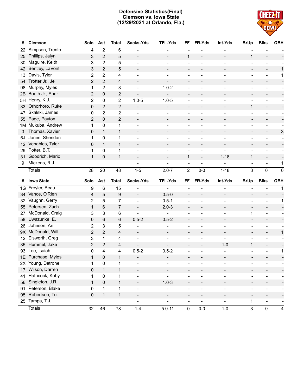# **Defensive Statistics(Final) Clemson vs. Iowa State (12/29/2021 at Orlando, Fla.)**



| #               | <b>Clemson</b>     | Solo           | Ast            | <b>Total</b>            | Sacks-Yds                | <b>TFL-Yds</b>           | FF                           | FR-Yds                   | Int-Yds                  | <b>BrUp</b>                  | <b>Blks</b>              | QBH             |
|-----------------|--------------------|----------------|----------------|-------------------------|--------------------------|--------------------------|------------------------------|--------------------------|--------------------------|------------------------------|--------------------------|-----------------|
| 22              | Simpson, Trento    | 4              | 2              | 6                       |                          |                          |                              |                          |                          |                              |                          |                 |
| 25              | Phillips, Jalyn    | 3              | 2              | 5                       | $\overline{a}$           |                          | $\mathbf{1}$                 |                          |                          | $\mathbf{1}$                 |                          |                 |
| 30              | Maguire, Keith     | 3              | $\overline{2}$ | 5                       | $\overline{a}$           |                          | $\overline{\phantom{0}}$     | $\overline{a}$           |                          | $\blacksquare$               | $\overline{a}$           |                 |
| 42              | Bentley, LaVont    | 3              | $\overline{2}$ | 5                       |                          |                          |                              |                          |                          | $\qquad \qquad -$            |                          | 1               |
| 13              | Davis, Tyler       | 2              | 2              | 4                       |                          |                          |                              |                          |                          | ÷                            |                          | 1               |
| 54              | Trotter Jr., Je    | 2              | $\overline{2}$ | 4                       | $\overline{a}$           |                          |                              |                          |                          | $\overline{\phantom{a}}$     |                          |                 |
| 98              | Murphy, Myles      | 1              | 2              | 3                       |                          | $1.0 - 2$                |                              |                          |                          | ÷                            |                          |                 |
| 2B              | Booth Jr., Andr    | $\overline{c}$ | 0              | $\overline{\mathbf{c}}$ |                          | $\blacksquare$           |                              |                          |                          | $\overline{a}$               |                          |                 |
| 5H              | Henry, K.J.        | 2              | 0              | 2                       | $1.0 - 5$                | $1.0 - 5$                |                              | $\overline{a}$           |                          | $\blacksquare$               | $\overline{\phantom{0}}$ |                 |
| 33              | Orhorhoro, Ruke    | 0              | 2              | $\overline{\mathbf{c}}$ |                          | $\overline{\phantom{a}}$ | -                            |                          |                          | $\mathbf{1}$                 | $\overline{\phantom{a}}$ |                 |
| 47              | Skalski, James     | 0              | $\overline{2}$ | $\overline{\mathbf{c}}$ |                          |                          |                              |                          |                          | $\overline{a}$               |                          |                 |
| 55              | Page, Payton       | $\overline{2}$ | 0              | 2                       |                          |                          |                              |                          |                          | $\overline{\phantom{m}}$     | $\overline{\phantom{a}}$ |                 |
| 1M              | Mukuba, Andrew     | 1              | 0              | 1                       |                          |                          |                              |                          |                          | ÷                            |                          |                 |
| 3               | Thomas, Xavier     | 0              | $\mathbf{1}$   | $\mathbf{1}$            | $\overline{\phantom{a}}$ |                          |                              |                          |                          | $\overline{a}$               | $\overline{\phantom{a}}$ | 3               |
| 6J              | Jones, Sheridan    | 1              | 0              | 1                       |                          |                          |                              |                          |                          |                              |                          |                 |
| 12              | Venables, Tyler    | 0              | $\mathbf{1}$   | $\mathbf{1}$            |                          |                          |                              |                          |                          | $\overline{a}$               |                          |                 |
| 29              | Potter, B.T.       | 1              | $\mathbf 0$    | $\mathbf 1$             | $\overline{a}$           |                          |                              | $\blacksquare$           |                          | $\blacksquare$               | $\overline{\phantom{a}}$ |                 |
| 31              | Goodrich, Mario    | $\mathbf{1}$   | 0              | $\mathbf{1}$            |                          |                          | 1                            | $\overline{\phantom{a}}$ | $1 - 18$                 | $\mathbf{1}$                 |                          |                 |
| 9               | Mickens, R.J.      |                |                |                         |                          |                          | $\overline{\phantom{a}}$     | $\overline{a}$           |                          | $\overline{\phantom{a}}$     | $\overline{\phantom{a}}$ | 1               |
|                 | <b>Totals</b>      | 28             | 20             | 48                      | $1 - 5$                  | $2.0 - 7$                | $\overline{2}$               | $0-0$                    | $1 - 18$                 | 3                            | $\mathbf 0$              | $6\phantom{1}6$ |
|                 |                    |                |                |                         |                          |                          |                              |                          |                          |                              |                          |                 |
|                 |                    |                |                |                         |                          |                          |                              |                          |                          |                              |                          |                 |
| #               | <b>Iowa State</b>  | Solo           | Ast            | <b>Total</b>            | Sacks-Yds                | <b>TFL-Yds</b>           | FF                           | FR-Yds                   | Int-Yds                  | <b>BrUp</b>                  | <b>Blks</b>              | QBH             |
| 1G              | Freyler, Beau      | 9              | 6              | 15                      |                          |                          |                              |                          |                          |                              |                          | 1               |
| 34              | Vance, O'Rien      | 4              | 5              | $\boldsymbol{9}$        | $\blacksquare$           | $0.5 - 0$                |                              |                          |                          | $\overline{a}$               |                          |                 |
| 32              | Vaughn, Gerry      | 2              | 5              | 7                       | $\overline{\phantom{0}}$ | $0.5 - 1$                |                              |                          |                          | ÷                            | $\overline{\phantom{a}}$ | 1               |
| 55              | Petersen, Zach     | $\mathbf{1}$   | 6              | 7                       | $\qquad \qquad -$        | $2.0 - 3$                |                              |                          |                          |                              |                          |                 |
| 27              | McDonald, Craig    | 3              | 3              | 6                       | $\overline{a}$           |                          |                              |                          |                          | 1                            |                          |                 |
| 58              | Uwazurike, E.      | 0              | 6              | 6                       | $0.5 - 2$                | $0.5 - 2$                |                              |                          |                          | $\overline{\phantom{a}}$     | $\overline{\phantom{a}}$ |                 |
| 26              | Johnson, An.       | 2              | 3              | 5                       |                          |                          |                              |                          |                          | ÷                            |                          |                 |
| 9X              | McDonald, Will     | 2              | $\overline{2}$ | 4                       | $\overline{\phantom{a}}$ |                          |                              |                          |                          | $\overline{a}$               |                          | 1               |
| 12              | Eisworth, Greg     | 3              | 1              | 4                       |                          |                          |                              |                          |                          |                              |                          |                 |
| 35 <sub>2</sub> | Hummel, Jake       | 2              | $\overline{c}$ | 4                       | $\overline{\phantom{a}}$ |                          |                              |                          | $1 - 0$                  | $\mathbf{1}$                 |                          |                 |
| 93              | Lee, Isaiah        | 0              | 4              | 4                       | $0.5 - 2$                | $0.5 - 2$                |                              |                          |                          |                              | $\overline{\phantom{a}}$ | 1               |
|                 | 1E Purchase, Myles | $\mathbf{1}$   | 0              | $\mathbf{1}$            |                          |                          |                              |                          |                          |                              |                          |                 |
| 2X              | Young, Datrone     | 1              | 0              | 1                       |                          |                          |                              |                          |                          |                              |                          |                 |
| 17              | Wilson, Darren     | $\pmb{0}$      | $\mathbf{1}$   | $\mathbf{1}$            | $\overline{\phantom{a}}$ | $\overline{\phantom{a}}$ | -                            |                          | $\overline{\phantom{a}}$ | $\overline{\phantom{0}}$     | $\overline{\phantom{a}}$ |                 |
| 41              | Hathcock, Koby     | 1              | 0              | $\mathbf{1}$            | $\qquad \qquad -$        | $\overline{\phantom{a}}$ | $\overline{\phantom{0}}$     | $\overline{a}$           | $\qquad \qquad -$        | $\qquad \qquad \blacksquare$ | $\overline{\phantom{a}}$ |                 |
| 56              | Singleton, J.R.    | $\mathbf{1}$   | $\mathsf 0$    | $\mathbf{1}$            | $\blacksquare$           | $1.0 - 3$                | $\overline{\phantom{0}}$     | $\overline{\phantom{a}}$ | $\overline{\phantom{a}}$ | $\qquad \qquad -$            | $\overline{\phantom{a}}$ |                 |
| 91              | Peterson, Blake    | 0              | $\mathbf{1}$   | $\mathbf{1}$            | $\blacksquare$           |                          | -                            | ÷                        | $\overline{\phantom{a}}$ | $\overline{a}$               | $\overline{\phantom{a}}$ |                 |
| 95              | Robertson, Tu.     | $\pmb{0}$      | $\mathbf{1}$   | $\mathbf{1}$            | $\blacksquare$           |                          | $\overline{\phantom{a}}$     | $\qquad \qquad -$        | $\overline{\phantom{a}}$ | $\overline{\phantom{a}}$     | $\overline{\phantom{a}}$ |                 |
|                 | 25 Tampa, T.J.     |                |                |                         | $\qquad \qquad -$        | $\overline{\phantom{0}}$ | $\qquad \qquad \blacksquare$ | $\blacksquare$           | $\qquad \qquad -$        | $\mathbf 1$                  | $\overline{\phantom{a}}$ |                 |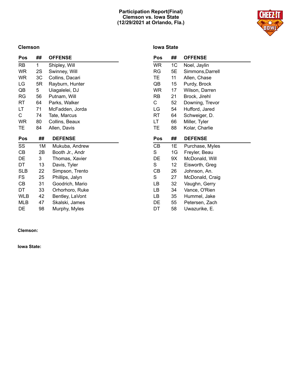# **Participation Report(Final) Clemson vs. Iowa State (12/29/2021 at Orlando, Fla.)**



# **Clemson**

# **Iowa State**

| Pos        | ##           | <b>OFFENSE</b>  | Pos       | ##             | <b>OFFENSE</b>   |
|------------|--------------|-----------------|-----------|----------------|------------------|
| RB         | $\mathbf{1}$ | Shipley, Will   | <b>WR</b> | 1 <sup>C</sup> | Noel, Jaylin     |
| <b>WR</b>  | 2S           | Swinney, Will   | RG        | 5E             | Simmons, Darrell |
| <b>WR</b>  | 3C           | Collins, Dacari | TЕ        | 11             | Allen, Chase     |
| LG         | 5R           | Rayburn, Hunter | QB        | 15             | Purdy, Brock     |
| QB         | 5            | Uiagalelei, DJ  | <b>WR</b> | 17             | Wilson, Darren   |
| RG         | 56           | Putnam, Will    | <b>RB</b> | 21             | Brock, Jirehl    |
| RT         | 64           | Parks, Walker   | C         | 52             | Downing, Trevor  |
| LT         | 71           | McFadden, Jorda | LG        | 54             | Hufford, Jared   |
| C          | 74           | Tate, Marcus    | RT        | 64             | Schweiger, D.    |
| <b>WR</b>  | 80           | Collins, Beaux  | LT.       | 66             | Miller, Tyler    |
| TE         | 84           | Allen, Davis    | TЕ        | 88             | Kolar, Charlie   |
|            |              |                 |           |                |                  |
| Pos        | ##           | <b>DEFENSE</b>  | Pos       | ##             | <b>DEFENSE</b>   |
| SS         | 1M           | Mukuba, Andrew  | СB        | 1E             | Purchase, Myles  |
| CВ         | 2B           | Booth Jr., Andr | S         | 1G             | Freyler, Beau    |
| DE         | 3            | Thomas, Xavier  | DE        | 9X             | McDonald, Will   |
| DT         | 13           | Davis, Tyler    | S         | 12             | Eisworth, Greg   |
| <b>SLB</b> | 22           | Simpson, Trento | CВ        | 26             | Johnson, An.     |
| FS         | 25           | Phillips, Jalyn | S         | 27             | McDonald, Craig  |
| CВ         | 31           | Goodrich, Mario | LВ        | 32             | Vaughn, Gerry    |
| DT         | 33           | Orhorhoro, Ruke | LВ        | 34             | Vance, O'Rien    |
| WLB        | 42           | Bentley, LaVont | LB        | 35             | Hummel, Jake     |
| MLB        | 47           | Skalski, James  | DE        | 55             | Petersen, Zach   |

**Clemson:**

**Iowa State:**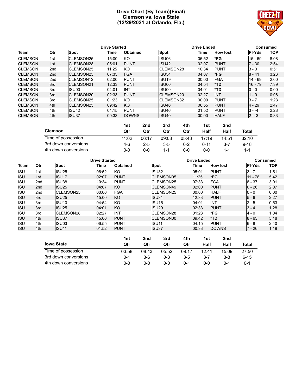# **Drive Chart (By Team)(Final) Clemson vs. Iowa State (12/29/2021 at Orlando, Fla.)**



|                |                 |                       | <b>Drive Started</b> |                 |                   |       | <b>Drive Ended</b> |               |            |  |
|----------------|-----------------|-----------------------|----------------------|-----------------|-------------------|-------|--------------------|---------------|------------|--|
| Team           | Qtr             | <b>Spot</b>           | Time                 | <b>Obtained</b> | <b>Spot</b>       | Time  | <b>How lost</b>    | <b>PI-Yds</b> | <b>TOP</b> |  |
| <b>CLEMSON</b> | 1st             | CLEMSON25             | 15:00                | KO              | ISU06             | 06:52 | *FG                | $15 - 69$     | 8:08       |  |
| <b>CLEMSON</b> | 1st             | CLEMSON28             | 05:01                | <b>PUNT</b>     | ISU <sub>42</sub> | 02:07 | <b>PUNT</b>        | $7 - 30$      | 2:54       |  |
| <b>CLEMSON</b> | 2 <sub>nd</sub> | CLEMSON25             | 11:25                | KO              | <b>CLEMSON28</b>  | 10:34 | <b>PUNT</b>        | $3 - 3$       | 0:51       |  |
| <b>CLEMSON</b> | 2 <sub>nd</sub> | CLEMSON25             | 07:33                | <b>FGA</b>      | ISU34             | 04:07 | *FG                | $ 8 - 41$     | 3:26       |  |
| <b>CLEMSON</b> | 2 <sub>nd</sub> | CLEMSON <sub>12</sub> | 02:00                | <b>PUNT</b>     | ISU <sub>19</sub> | 00:00 | <b>FGA</b>         | $14 - 69$     | 2:00       |  |
| <b>CLEMSON</b> | 3rd             | CLEMSON21             | 12:33                | <b>PUNT</b>     | ISU00             | 04:54 | $*TD$              | $16 - 79$     | 7:39       |  |
| <b>CLEMSON</b> | 3rd             | ISU00                 | 04:01                | <b>INT</b>      | IISU00            | 04:01 | *TD                | $10 - 0$      | 0:00       |  |
| <b>CLEMSON</b> | 3rd             | CLEMSON20             | 02:33                | <b>PUNT</b>     | CLEMSON20         | 02:27 | <b>INT</b>         | $1 - 0$       | 0:06       |  |
| <b>CLEMSON</b> | 3rd             | CLEMSON25             | 01:23                | KO              | <b>CLEMSON32</b>  | 00:00 | <b>PUNT</b>        | $3 - 7$       | 1:23       |  |
| <b>CLEMSON</b> | 4th             | <b>CLEMSON25</b>      | 09:42                | <b>KO</b>       | ISU <sub>46</sub> | 06:55 | <b>PUNT</b>        | $14 - 29$     | 2:47       |  |
| <b>CLEMSON</b> | 4th             | ISU <sub>42</sub>     | 04:15                | <b>PUNT</b>     | ISU46             | 01:52 | <b>PUNT</b>        | $3 - -4$      | 2:23       |  |
| <b>CLEMSON</b> | 4th             | ISU37                 | 00:33                | <b>DOWNS</b>    | ISU <sub>40</sub> | 00:00 | <b>HALF</b>        | $12 - -3$     | 0:33       |  |

|                      | 1st   | 2nd     | 3rd   | 4th   | 1st   | 2nd   |              |
|----------------------|-------|---------|-------|-------|-------|-------|--------------|
| <b>Clemson</b>       | Qtr   | Qtr     | Qtr   | Qtr   | Half  | Half  | <b>Total</b> |
| Time of possession   | 11:02 | 06:17   | 09:08 | 05:43 | 17:19 | 14:51 | 32:10        |
| 3rd down conversions | 4-6   | $2 - 5$ | $3-5$ | 0-2   | 6-11  |       | $9 - 18$     |
| 4th down conversions | 0-0   | 0-0     | 1-1   | ი-ი   | ი-ი   | 1-1   | 1-1          |

|             |                 |                      | <b>Drive Started</b> |             |       |                   | <b>Drive Ended</b> |         | <b>Consumed</b> |               |            |
|-------------|-----------------|----------------------|----------------------|-------------|-------|-------------------|--------------------|---------|-----------------|---------------|------------|
| <b>Team</b> | Qtr             | <b>Spot</b>          | Time                 | Obtained    |       | Spot              |                    | Time    | <b>How lost</b> | <b>PI-Yds</b> | <b>TOP</b> |
| <b>ISU</b>  | 1st             | <b>ISU25</b>         | 06:52                | KO          |       | <b>ISU32</b>      |                    | 05:01   | <b>PUNT</b>     | $3 - 7$       | 1:51       |
| <b>ISU</b>  | 1st             | ISU17                | 02:07                | <b>PUNT</b> |       | <b>CLEMSON05</b>  |                    | 11:25   | *FG             | $11 - 78$     | 5:42       |
| <b>ISU</b>  | 2 <sub>nd</sub> | ISU38                | 10:34                | <b>PUNT</b> |       | CLEMSON25         |                    | 07:33   | <b>FGA</b>      | $8 - 37$      | 3:01       |
| <b>ISU</b>  | 2nd             | <b>ISU25</b>         | 04:07                | KO          |       | CLEMSON49         |                    | 02:00   | <b>PUNT</b>     | $6 - 26$      | 2:07       |
| <b>ISU</b>  | 2nd             | CLEMSON25            | 00:00                | <b>FGA</b>  |       | CLEMSON25         |                    | 00:00   | <b>HALF</b>     | $0 - 0$       | 0:00       |
| <b>ISU</b>  | 3rd             | <b>ISU25</b>         | 15:00                | KO.         |       | ISU31             |                    | 12:33   | <b>PUNT</b>     | $5 - 6$       | 2:27       |
| <b>ISU</b>  | 3rd             | ISU <sub>10</sub>    | 04:54                | KO          |       | ISU <sub>15</sub> |                    | 04:01   | INT             | $2 - 5$       | 0:53       |
| <b>ISU</b>  | 3rd             | ISU <sub>25</sub>    | 04:01                | KO.         |       | ISU <sub>29</sub> |                    | 02:33   | <b>PUNT</b>     | $3 - 4$       | 1:28       |
| <b>ISU</b>  | 3rd             | <b>CLEMSON28</b>     | 02:27                | INT         |       | <b>CLEMSON28</b>  |                    | 01:23   | *FG             | $4 - 0$       | 1:04       |
| <b>ISU</b>  | 4th             | ISU37                | 15:00                | <b>PUNT</b> |       | <b>CLEMSON00</b>  |                    | 09:42   | *TD             | $8 - 63$      | 5:18       |
| <b>ISU</b>  | 4th             | ISU03                | 06:55                | <b>PUNT</b> |       | ISU <sub>11</sub> |                    | 04:15   | <b>PUNT</b>     | $6 - 8$       | 2:40       |
| <b>ISU</b>  | 4th             | ISU <sub>11</sub>    | 01:52                | <b>PUNT</b> |       | ISU37             |                    | 00:33   | <b>DOWNS</b>    | $7 - 26$      | 1:19       |
|             |                 |                      |                      | 1st         | 2nd   | 3rd               | 4th                | 1st     | 2nd             |               |            |
|             |                 | <b>Iowa State</b>    |                      | Qtr         | Qtr   | Qtr               | Qtr                | Half    | Half            | Total         |            |
|             |                 | Time of possession   |                      | 03:58       | 08:43 | 05:52             | 09:17              | 12:41   | 15:09           | 27:50         |            |
|             |                 | 3rd down conversions |                      | $0 - 1$     | 3-6   | $0 - 3$           | $3-5$              | $3 - 7$ | $3 - 8$         | $6 - 15$      |            |
|             |                 | 4th down conversions |                      | $0-0$       | $0-0$ | $0-0$             | $0 - 1$            | $0-0$   | $0 - 1$         | $0 - 1$       |            |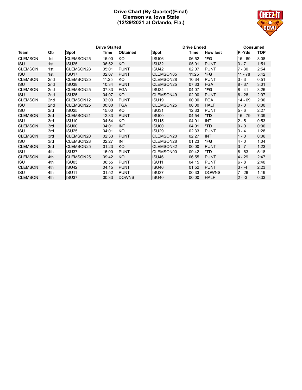# **Drive Chart (By Quarter)(Final) Clemson vs. Iowa State (12/29/2021 at Orlando, Fla.)**



|                |     |                   | <b>Drive Started</b> |              |                   | <b>Drive Ended</b> |                 |               |            |
|----------------|-----|-------------------|----------------------|--------------|-------------------|--------------------|-----------------|---------------|------------|
| Team           | Qtr | <b>Spot</b>       | Time                 | Obtained     | Spot              | Time               | <b>How lost</b> | <b>PI-Yds</b> | <b>TOP</b> |
| <b>CLEMSON</b> | 1st | <b>CLEMSON25</b>  | 15:00                | KO           | ISU06             | 06:52              | *FG             | $15 - 69$     | 8:08       |
| <b>ISU</b>     | 1st | ISU <sub>25</sub> | 06:52                | <b>KO</b>    | <b>ISU32</b>      | 05:01              | <b>PUNT</b>     | $3 - 7$       | 1:51       |
| <b>CLEMSON</b> | 1st | <b>CLEMSON28</b>  | 05:01                | <b>PUNT</b>  | ISU <sub>42</sub> | 02:07              | <b>PUNT</b>     | $7 - 30$      | 2:54       |
| <b>ISU</b>     | 1st | ISU17             | 02:07                | <b>PUNT</b>  | CLEMSON05         | 11:25              | *FG             | 11 - 78       | 5:42       |
| <b>CLEMSON</b> | 2nd | <b>ICLEMSON25</b> | 11:25                | KO           | <b>CLEMSON28</b>  | 10:34              | <b>PUNT</b>     | $3 - 3$       | 0:51       |
| <b>ISU</b>     | 2nd | ISU38             | 10:34                | <b>PUNT</b>  | <b>CLEMSON25</b>  | 07:33              | <b>FGA</b>      | $8 - 37$      | 3:01       |
| <b>CLEMSON</b> | 2nd | CLEMSON25         | 07:33                | <b>FGA</b>   | ISU34             | 04:07              | *FG             | 8 - 41        | 3:26       |
| <b>ISU</b>     | 2nd | <b>ISU25</b>      | 04:07                | KO           | CLEMSON49         | 02:00              | <b>PUNT</b>     | $6 - 26$      | 2:07       |
| <b>CLEMSON</b> | 2nd | CLEMSON12         | 02:00                | <b>PUNT</b>  | ISU <sub>19</sub> | 00:00              | <b>FGA</b>      | 14 - 69       | 2:00       |
| <b>ISU</b>     | 2nd | <b>CLEMSON25</b>  | 00:00                | <b>FGA</b>   | CLEMSON25         | 00:00              | <b>HALF</b>     | $0 - 0$       | 0:00       |
| <b>ISU</b>     | 3rd | ISU <sub>25</sub> | 15:00                | KO           | ISU31             | 12:33              | <b>PUNT</b>     | $5 - 6$       | 2:27       |
| <b>CLEMSON</b> | 3rd | CLEMSON21         | 12:33                | <b>PUNT</b>  | ISU00             | 04:54              | $*TD$           | $16 - 79$     | 7:39       |
| <b>ISU</b>     | 3rd | ISU <sub>10</sub> | 04:54                | KO           | ISU <sub>15</sub> | 04:01              | <b>INT</b>      | $2 - 5$       | 0:53       |
| <b>CLEMSON</b> | 3rd | ISU00             | 04:01                | <b>INT</b>   | ISU00             | 04:01              | $*TD$           | $0 - 0$       | 0:00       |
| <b>ISU</b>     | 3rd | ISU <sub>25</sub> | 04:01                | <b>KO</b>    | <b>ISU29</b>      | 02:33              | <b>PUNT</b>     | $3 - 4$       | 1:28       |
| <b>CLEMSON</b> | 3rd | CLEMSON20         | 02:33                | <b>PUNT</b>  | CLEMSON20         | 02:27              | <b>INT</b>      | $1 - 0$       | 0:06       |
| <b>ISU</b>     | 3rd | CLEMSON28         | 02:27                | <b>INT</b>   | CLEMSON28         | 01:23              | *FG             | 4 - 0         | 1:04       |
| <b>CLEMSON</b> | 3rd | <b>CLEMSON25</b>  | 01:23                | KO           | CLEMSON32         | 00:00              | <b>PUNT</b>     | $3 - 7$       | 1:23       |
| <b>ISU</b>     | 4th | ISU37             | 15:00                | <b>PUNT</b>  | CLEMSON00         | 09:42              | *TD             | $8 - 63$      | 5:18       |
| <b>CLEMSON</b> | 4th | <b>CLEMSON25</b>  | 09:42                | KO.          | ISU <sub>46</sub> | 06:55              | <b>PUNT</b>     | $4 - 29$      | 2:47       |
| <b>ISU</b>     | 4th | ISU03             | 06:55                | <b>PUNT</b>  | <b>ISU11</b>      | 04:15              | <b>PUNT</b>     | $6 - 8$       | 2:40       |
| <b>CLEMSON</b> | 4th | <b>ISU42</b>      | 04:15                | <b>PUNT</b>  | ISU <sub>46</sub> | 01:52              | <b>PUNT</b>     | $3 - -4$      | 2:23       |
| <b>ISU</b>     | 4th | ISU <sub>11</sub> | 01:52                | <b>PUNT</b>  | ISU37             | 00:33              | <b>DOWNS</b>    | 7 - 26        | 1:19       |
| <b>CLEMSON</b> | 4th | ISU37             | 00:33                | <b>DOWNS</b> | ISU <sub>40</sub> | 00:00              | <b>HALF</b>     | $2 - -3$      | 0:33       |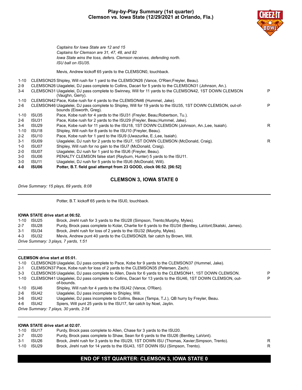# **Play-by-Play Summary (1st quarter) Clemson vs. Iowa State (12/29/2021 at Orlando, Fla.)**



*Captains for Iowa State are 12 and 15 Captains for Clemson are 31, 47, 48, and 82 Iowa State wins the toss, defers. Clemson receives, defending north. ISU ball on ISU35.*

Mevis, Andrew kickoff 65 yards to the CLEMSON0, touchback.

1-10 CLEMSON25 Shipley, Will rush for 1 yard to the CLEMSON26 (Vance, O'Rien;Freyler, Beau).

| $1 - 10$ |                   | <u>ULLINIUU INEU UNIQUI IUSI IUI I VAIU IU IIIE ULLINIUUIVEU (VAIIUE, UTIIENI, TEVIEN, DEAU).</u>                                        |   |
|----------|-------------------|------------------------------------------------------------------------------------------------------------------------------------------|---|
| $2-9$    |                   | CLEMSON26 Uiagalelei, DJ pass complete to Collins, Dacari for 5 yards to the CLEMSON31 (Johnson, An.).                                   |   |
| $3 - 4$  |                   | CLEMSON31 Uiagalelei, DJ pass complete to Swinney, Will for 11 yards to the CLEMSON42, 1ST DOWN CLEMSON<br>(Vaughn, Gerry).              | P |
| 1-10     |                   | CLEMSON42 Pace, Kobe rush for 4 yards to the CLEMSON46 (Hummel, Jake).                                                                   |   |
| $2-6$    |                   | CLEMSON46 Uiagalelei, DJ pass complete to Shipley, Will for 19 yards to the ISU35, 1ST DOWN CLEMSON, out-of-<br>bounds (Eisworth, Greg). | P |
| $1 - 10$ | ISU35             | Pace, Kobe rush for 4 yards to the ISU31 (Freyler, Beau; Robertson, Tu.).                                                                |   |
| $2-6$    | ISU31             | Pace, Kobe rush for 2 yards to the ISU29 (Freyler, Beau; Hummel, Jake).                                                                  |   |
| $3 - 4$  | ISU <sub>29</sub> | Pace, Kobe rush for 11 yards to the ISU18, 1ST DOWN CLEMSON (Johnson, An.; Lee, Isaiah).                                                 | R |
| $1 - 10$ | ISU18             | Shipley, Will rush for 8 yards to the ISU10 (Freyler, Beau).                                                                             |   |
| $2 - 2$  | ISU <sub>10</sub> | Pace, Kobe rush for 1 yard to the ISU9 (Uwazurike, E.; Lee, Isaiah).                                                                     |   |
| $3 - 1$  | ISU09             | Uiagalelei, DJ rush for 2 yards to the ISU7, 1ST DOWN CLEMSON (McDonald, Craig).                                                         | R |
| $1-0$    | ISU07             | Shipley, Will rush for no gain to the ISU7 (McDonald, Craig).                                                                            |   |
| $2 - 0$  | ISU07             | Uiagalelei, DJ rush for 1 yard to the ISU6 (Freyler, Beau).                                                                              |   |
| $3-0$    | ISU06             | PENALTY CLEMSON false start (Rayburn, Hunter) 5 yards to the ISU11.                                                                      |   |
| $3-0$    | ISU <sub>11</sub> | Uiagalelei, DJ rush for 5 yards to the ISU6 (McDonald, Will).                                                                            |   |
| 4-0      | <b>ISU06</b>      | Potter, B.T. field goal attempt from 23 GOOD, clock 06:52. [06:52]                                                                       |   |
|          |                   |                                                                                                                                          |   |

# **CLEMSON 3, IOWA STATE 0**

*Drive Summary: 15 plays, 69 yards, 8:08*

Potter, B.T. kickoff 65 yards to the ISU0, touchback.

#### **IOWA STATE drive start at 06:52.**

| $1 - 10$ | ISU25 | Brock, Jirehl rush for 3 yards to the ISU28 (Simpson, Trento; Murphy, Myles).                            |
|----------|-------|----------------------------------------------------------------------------------------------------------|
| $2 - 7$  | ISU28 | Purdy, Brock pass complete to Kolar, Charlie for 6 yards to the ISU34 (Bentley, LaVont; Skalski, James). |
| 3-1      | ISU34 | Brock, Jirehl rush for loss of 2 yards to the ISU32 (Murphy, Myles).                                     |
| 4-3      | ISU32 | Mevis, Andrew punt 40 yards to the CLEMSON28, fair catch by Brown, Will.                                 |
|          |       | Drive Summary: 3 plays, 7 yards, 1:51                                                                    |

#### **CLEMSON drive start at 05:01.**

|  | 1-10 CLEMSON28 Uiagalelei, DJ pass complete to Pace, Kobe for 9 yards to the CLEMSON37 (Hummel, Jake). |  |  |
|--|--------------------------------------------------------------------------------------------------------|--|--|
|--|--------------------------------------------------------------------------------------------------------|--|--|

2-1 CLEMSON37 Pace, Kobe rush for loss of 2 yards to the CLEMSON35 (Petersen, Zach).

| $3 - 3$ |                                        | CLEMSON35 Uiagalelei, DJ pass complete to Allen, Davis for 6 yards to the CLEMSON41, 1ST DOWN CLEMSON.           | P |  |  |  |  |  |  |
|---------|----------------------------------------|------------------------------------------------------------------------------------------------------------------|---|--|--|--|--|--|--|
|         |                                        | 1-10 CLEMSON41 Uiagalelei, DJ pass complete to Collins, Dacari for 13 yards to the ISU46, 1ST DOWN CLEMSON, out- | P |  |  |  |  |  |  |
|         |                                        | of-bounds.                                                                                                       |   |  |  |  |  |  |  |
| 1-10    | ISU46                                  | Shipley, Will rush for 4 yards to the ISU42 (Vance, O'Rien).                                                     |   |  |  |  |  |  |  |
| $2-6$   | ISU42                                  | Uiagalelei, DJ pass incomplete to Shipley, Will.                                                                 |   |  |  |  |  |  |  |
| 3-6     | ISU42                                  | Uiagalelei, DJ pass incomplete to Collins, Beaux (Tampa, T.J.), QB hurry by Freyler, Beau.                       |   |  |  |  |  |  |  |
| 4-6     | ISU42                                  | Spiers, Will punt 25 yards to the ISU17, fair catch by Noel, Jaylin.                                             |   |  |  |  |  |  |  |
|         | Drive Summary: 7 plays, 30 yards, 2:54 |                                                                                                                  |   |  |  |  |  |  |  |
|         |                                        |                                                                                                                  |   |  |  |  |  |  |  |

#### **IOWA STATE drive start at 02:07.** 1-10 ISU17 Purdy, Brock pass complete to Allen, Chase for 3 yards to the ISU20. 2-7 ISU20 Purdy, Brock pass complete to Shaw, Sean for 6 yards to the ISU26 (Bentley, LaVont). 3-1 ISU26 Brock, Jirehl rush for 3 yards to the ISU29, 1ST DOWN ISU (Thomas, Xavier;Simpson, Trento). R 1-10 ISU29 Brock, Jirehl rush for 14 yards to the ISU43, 1ST DOWN ISU (Simpson, Trento). R

# **END OF 1ST QUARTER: CLEMSON 3, IOWA STATE 0**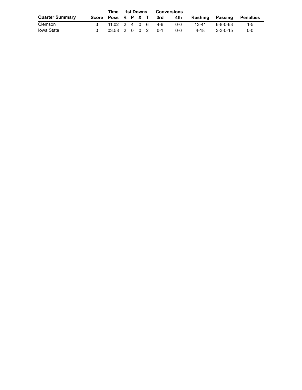|                        |                    |                     |  | 1st Downs<br>Time |  |  |         | Conversions |                 |                  |           |
|------------------------|--------------------|---------------------|--|-------------------|--|--|---------|-------------|-----------------|------------------|-----------|
| <b>Quarter Summary</b> | Score Poss R P X T |                     |  |                   |  |  | 3rd     | 4th         | Rushing Passing |                  | Penalties |
| Clemson                |                    | $11:02$ 2 4 0 6 4-6 |  |                   |  |  |         | $0 - 0$     | 13-41           | ٬ 6-8-0-63       | 1-5       |
| <b>Iowa State</b>      |                    | 03:58 2 0 0 2       |  |                   |  |  | $0 - 1$ | $0 - 0$     | 4-18            | $3 - 3 - 0 - 15$ | $0 - 0$   |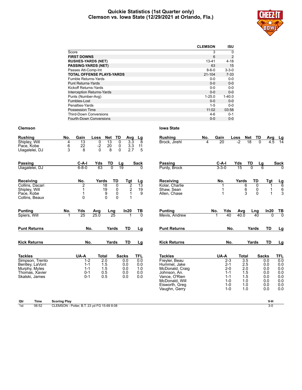#### **Quickie Statistics (1st Quarter only) Clemson vs. Iowa State (12/29/2021 at Orlando, Fla.)**



|                                   | <b>CLEMSON</b> | <b>ISU</b>  |
|-----------------------------------|----------------|-------------|
| Score                             | 3              | $\Omega$    |
| <b>FIRST DOWNS</b>                | 6              | 2           |
| <b>RUSHES-YARDS (NET)</b>         | 13-41          | $4 - 18$    |
| <b>PASSING-YARDS (NET)</b>        | 63             | 15          |
| Passes Att-Comp-Int               | $8 - 6 - 0$    | $3 - 3 - 0$ |
| <b>TOTAL OFFENSE PLAYS-YARDS</b>  | $21 - 104$     | $7 - 33$    |
| Fumble Returns-Yards              | $0 - 0$        | $0-0$       |
| <b>Punt Returns-Yards</b>         | $0 - 0$        | $0 - 0$     |
| Kickoff Returns-Yards             | $0 - 0$        | $0 - 0$     |
| <b>Interception Returns-Yards</b> | $0 - 0$        | $0 - 0$     |
| Punts (Number-Avg)                | $1 - 25.0$     | $1 - 40.0$  |
| Fumbles-Lost                      | $0 - 0$        | $0 - 0$     |
| Penalties-Yards                   | $1 - 5$        | $0 - 0$     |
| Possession Time                   | 11:02          | 03:58       |
| <b>Third-Down Conversions</b>     | 4-6            | $0 - 1$     |
| Fourth-Down Conversions           | $0 - 0$        | $0 - 0$     |

| <b>Rushing</b>                   | No.                  | Gain               | Loss           | <b>Net</b>       | <b>TD</b>          | <b>Avg</b>       | Lg                     | <b>Rushing</b>                | No. | Gain         |                    | Loss         | <b>Net</b>    | TD                | Avg            | Lg                               |
|----------------------------------|----------------------|--------------------|----------------|------------------|--------------------|------------------|------------------------|-------------------------------|-----|--------------|--------------------|--------------|---------------|-------------------|----------------|----------------------------------|
| Shipley, Will                    | 4                    | 13                 | $\mathbf 0$    | $\overline{13}$  | $\Omega$           | $\overline{3.3}$ | 8                      | Brock, Jirehl                 | 4   | 20           |                    | $-2$         | 18            | $\Omega$          | 4.5            | 14                               |
| Pace, Kobe<br>Uiagalelei, DJ     | 6<br>3               | 22<br>8            | $\frac{-2}{0}$ | $\frac{20}{8}$   | 0<br>$\Omega$      | $3.3\,$<br>2.7   | $\frac{11}{5}$         |                               |     |              |                    |              |               |                   |                |                                  |
|                                  |                      |                    |                |                  |                    |                  |                        |                               |     |              |                    |              |               |                   |                |                                  |
| Passing                          |                      | $C-A-I$            | Yds            | TD               | Lg                 |                  | Sack                   | <b>Passing</b>                |     | $C-A-I$      |                    | Yds          | TD            | Lg                |                | <b>Sack</b>                      |
| Uiagalelei, DJ                   |                      | $6 - 8 - 0$        | 63             | $\overline{0}$   | $\overline{19}$    |                  |                        | Purdy, Brock                  |     | $3 - 3 - 0$  |                    | 15           |               |                   |                |                                  |
|                                  |                      |                    |                |                  |                    |                  |                        |                               |     |              |                    |              |               |                   |                |                                  |
| Receiving                        |                      | No.                | Yards          |                  | TD                 | <u>Tgt</u>       | $\frac{\text{Lg}}{13}$ | Receiving                     |     | No.          |                    | Yards        |               | TD                | Tgt            | $\frac{\mathsf{L}\mathsf{g}}{6}$ |
| Collins, Dacari                  |                      | $\overline{2}$     |                | $\overline{18}$  | $\overline{0}$     | $\overline{2}$   |                        | Kolar, Charlie                |     |              |                    |              | 6             | 0                 |                |                                  |
| Shipley, Will<br>Pace, Kobe      |                      | 1<br>1             |                | 19<br>9          | $_{\rm 0}^{\rm 0}$ | $\frac{2}{1}$    | 19<br>9                | Shaw, Sean<br>Allen, Chase    |     |              |                    |              | $\frac{6}{3}$ | 0<br>$\mathbf{0}$ | 1              | 6<br>$\overline{3}$              |
| Collins, Beaux                   |                      | 0                  |                | $\mathbf 0$      | 0                  | 1                |                        |                               |     |              |                    |              |               |                   |                |                                  |
|                                  |                      |                    |                |                  |                    |                  |                        |                               |     |              |                    |              |               |                   |                |                                  |
| <b>Punting</b>                   | No.                  | Yds                | Avg            | Lng              |                    | In20             | $rac{TB}{0}$           | <b>Punting</b>                |     | No.          | Yds                | Avg          |               | Lng               | In20           | $\frac{TB}{0}$                   |
| Spiers, Will                     | $\blacktriangleleft$ | 25                 | 25.0           | 25               |                    |                  |                        | Mevis, Andrew                 |     | $\mathbf{1}$ | 40                 | 40.0         |               | 40                | $\overline{0}$ |                                  |
|                                  |                      |                    |                |                  |                    |                  |                        |                               |     |              |                    |              |               |                   |                |                                  |
| <b>Punt Returns</b>              |                      | No.                |                | Yards            |                    | TD               | Lg                     | <b>Punt Returns</b>           |     |              | No.                |              | Yards         |                   | TD             | Lg                               |
|                                  |                      |                    |                |                  |                    |                  |                        |                               |     |              |                    |              |               |                   |                |                                  |
| <b>Kick Returns</b>              |                      | No.                |                | Yards            |                    | TD               | Lg                     | <b>Kick Returns</b>           |     |              | No.                |              | Yards         |                   | <b>TD</b>      | Lg                               |
|                                  |                      |                    |                |                  |                    |                  |                        |                               |     |              |                    |              |               |                   |                |                                  |
| <b>Tackles</b>                   |                      | UA-A               | <b>Total</b>   |                  | <b>Sacks</b>       |                  | TFL                    | <b>Tackles</b>                |     | UA-A         |                    | <b>Total</b> |               | <b>Sacks</b>      |                | <b>TFL</b>                       |
| Simpson, Trento                  |                      | $1 - 2$<br>$1 - 1$ |                | $\overline{2.0}$ |                    | 0.0<br>0.0       | 0.0<br>0.0             | Freyler, Beau<br>Hummel. Jake |     |              | $2 - 3$            |              | 3.5           |                   | 0.0<br>0.0     | 0.0<br>0.0                       |
| Bentley, LaVont<br>Murphy, Myles |                      | $1 - 1$            |                | 1.5<br>1.5       |                    | 0.0              | 1.0                    | McDonald, Craig               |     |              | $2 - 1$<br>$2 - 0$ |              | 2.5<br>2.0    |                   | 0.0            | 0.0                              |
| Thomas, Xavier                   |                      | $0 - 1$            |                | 0.5              |                    | 0.0              | 0.0                    | Johnson, An.                  |     |              | $1 - 1$            |              | 1.5           |                   | 0.0            | 0.0                              |
| Skalski, James                   |                      | $0 - 1$            |                | 0.5              |                    | 0.0              | 0.0                    | Vance, O'Rien                 |     |              | $1 - 1$            |              | 1.5           |                   | 0.0            | 0.0                              |
|                                  |                      |                    |                |                  |                    |                  |                        | McDonald, Will                |     |              | $1 - 0$            |              | 1.0           |                   | 0.0            | 0.0                              |
|                                  |                      |                    |                |                  |                    |                  |                        | Eisworth, Greg                |     |              | $1 - 0$<br>$1 - 0$ |              | 1.0<br>1.0    |                   | 0.0<br>0.0     | 0.0<br>0.0                       |
|                                  |                      |                    |                |                  |                    |                  |                        | Vaughn, Gerry                 |     |              |                    |              |               |                   |                |                                  |

| Passing                                      |     | C-A-I              | Yds   | TD          | <u>Lg</u>                  | Sack          |
|----------------------------------------------|-----|--------------------|-------|-------------|----------------------------|---------------|
| Purdy, Brock                                 |     | $3 - 3 - 0$        | 15    | 0           | 6                          | 0             |
| Receiving                                    |     | No.                | Yards | TD          | <b>Tgt</b>                 | Lg            |
| Kolar, Charlie<br>Shaw, Sean<br>Allen, Chase |     | 1<br>1<br>1        |       | 6<br>6<br>3 | 0<br>1<br>1<br>0<br>1<br>0 | 6<br>6<br>3   |
| Punting                                      | No. | Yds                | Avg   | Lng         | In20                       | ΤВ            |
| Mevis, Andrew                                | 1   | 40                 | 40.0  |             | 40                         | $\Omega$<br>0 |
| Punt Returns                                 |     | No.                |       | Yards       | TD                         | Lg            |
| Kick Returns                                 |     | No.                |       | Yards       | TD                         | Lg            |
| Tackles                                      |     | UA-A               | Total |             | <b>Sacks</b>               | TFL           |
| Freyler, Beau                                |     | $2 - 3$            |       | 3.5         | 0.0                        | 0.0           |
| Hummel, Jake                                 |     | $2 - 1$            |       | 2.5         | 0.0                        | 0.0           |
| McDonald, Craig<br>Johnson, An.              |     | $2 - 0$<br>$1 - 1$ |       | 2.0<br>1.5  | 0.0<br>0.0                 | 0.0<br>0.0    |
| Vance, O'Rien                                |     | 1-1                |       | 1.5         | 0.0                        | 0.0           |
| McDonald, Will                               |     | 1-0                |       | 1.0         | 0.0                        | 0.0           |
| Eisworth, Greg                               |     | $1 - 0$            |       | 1.0         | 0.0                        | 0.0           |

| Qtr                    | Time<br>$\sim$ | Scoring Play                                                                 | -----<br>v.r |
|------------------------|----------------|------------------------------------------------------------------------------|--------------|
| 1 <sub>ct</sub><br>,,, | 06:52          | -6988:08<br>$\sim$<br>EMSON<br>Potter,<br>$\overline{110}$<br>vu r<br>u<br>. |              |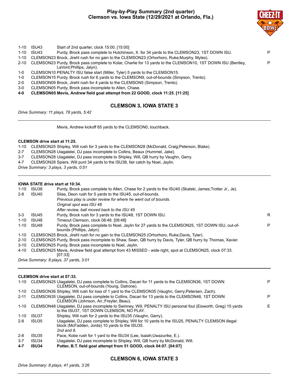# **Play-by-Play Summary (2nd quarter) Clemson vs. Iowa State (12/29/2021 at Orlando, Fla.)**



- 1-10 ISU43 Start of 2nd quarter, clock 15:00. [15:00]
- 1-10 ISU43 Purdy, Brock pass complete to Hutchinson, X. for 34 yards to the CLEMSON23, 1ST DOWN ISU. P
- 1-10 CLEMSON23 Brock, Jirehl rush for no gain to the CLEMSON23 (Orhorhoro, Ruke;Murphy, Myles).
- 2-10 CLEMSON23 Purdy, Brock pass complete to Kolar, Charlie for 13 yards to the CLEMSON10, 1ST DOWN ISU (Bentley, LaVont;Phillips, Jalyn). P
- 1-0 CLEMSON10 PENALTY ISU false start (Miller, Tyler) 5 yards to the CLEMSON15.
- 1-0 CLEMSON15 Purdy, Brock rush for 6 yards to the CLEMSON9, out-of-bounds (Simpson, Trento).
- 2-0 CLEMSON09 Brock, Jirehl rush for 4 yards to the CLEMSON5 (Simpson, Trento).
- 3-0 CLEMSON05 Purdy, Brock pass incomplete to Allen, Chase.
- **4-0 CLEMSON05 Mevis, Andrew field goal attempt from 22 GOOD, clock 11:25. [11:25]**

# **CLEMSON 3, IOWA STATE 3**

*Drive Summary: 11 plays, 78 yards, 5:42*

Mevis, Andrew kickoff 65 yards to the CLEMSON0, touchback.

#### **CLEMSON drive start at 11:25.**

1-10 CLEMSON25 Shipley, Will rush for 3 yards to the CLEMSON28 (McDonald, Craig;Peterson, Blake).

- 2-7 CLEMSON28 Uiagalelei, DJ pass incomplete to Collins, Beaux (Hummel, Jake).
- 3-7 CLEMSON28 Uiagalelei, DJ pass incomplete to Shipley, Will, QB hurry by Vaughn, Gerry.
- 4-7 CLEMSON28 Spiers, Will punt 34 yards to the ISU38, fair catch by Noel, Jaylin.

*Drive Summary: 3 plays, 3 yards, 0:51*

#### **IOWA STATE drive start at 10:34.**

| $1 - 10$ | ISU38 | Purdy, Brock pass complete to Allen, Chase for 2 yards to the ISU40 (Skalski, James; Trotter Jr., Je).                       |   |
|----------|-------|------------------------------------------------------------------------------------------------------------------------------|---|
| $2 - 8$  | ISU40 | Silas, Deon rush for 5 yards to the ISU45, out-of-bounds.                                                                    |   |
|          |       | Previous play is under review for where he went out of bounds.                                                               |   |
|          |       | Original spot was ISU 48                                                                                                     |   |
|          |       | After review, ball moved back to the ISU 45                                                                                  |   |
| $3 - 3$  | ISU45 | Purdy, Brock rush for 3 yards to the ISU48, 1ST DOWN ISU.                                                                    | R |
| $1 - 10$ | ISU48 | Timeout Clemson, clock 08:48. [08:48]                                                                                        |   |
| $1 - 10$ | ISU48 | Purdy, Brock pass complete to Noel, Jaylin for 27 yards to the CLEMSON25, 1ST DOWN ISU, out-of-<br>bounds (Phillips, Jalyn). | P |
|          |       | 1-10 CLEMSON25 Brock, Jirehl rush for no gain to the CLEMSON25 (Orhorhoro, Ruke;Davis, Tyler).                               |   |
| $2 - 10$ |       | CLEMSON25 Purdy, Brock pass incomplete to Shaw, Sean, QB hurry by Davis, Tyler, QB hurry by Thomas, Xavier.                  |   |
| $3 - 10$ |       | CLEMSON25 Purdy, Brock pass incomplete to Noel, Jaylin.                                                                      |   |
|          |       | 4-10 CLEMSON25 Mevis, Andrew field goal attempt from 43 MISSED - wide right, spot at CLEMSON25, clock 07:33.                 |   |
|          |       | [07:33]                                                                                                                      |   |

*Drive Summary: 8 plays, 37 yards, 3:01*

#### **CLEMSON drive start at 07:33.**

| CLEMSON36 Shipley, Will rush for loss of 1 yard to the CLEMSON35 (Vaughn, Gerry; Petersen, Zach).<br>1-10<br>CLEMSON35 Uiagalelei, DJ pass complete to Collins, Dacari for 13 yards to the CLEMSON48, 1ST DOWN<br>$2 - 11$<br>CLEMSON (Johnson, An.; Freyler, Beau).<br>CLEMSON48 Uiagalelei, DJ pass incomplete to Swinney, Will, PENALTY ISU personal foul (Eisworth, Greg) 15 yards<br>1-10<br>to the ISU37, 1ST DOWN CLEMSON, NO PLAY.<br>Shipley, Will rush for 2 yards to the ISU35 (Vaughn, Gerry).<br>1-10<br>ISU37<br>Uiagalelei, DJ pass complete to Shipley, Will for 10 yards to the ISU25, PENALTY CLEMSON illegal<br>2-8<br>ISU35<br>block (McFadden, Jorda) 10 yards to the ISU35.<br>2nd and $8$ .<br>$2 - 8$<br>Pace, Kobe rush for 1 yard to the ISU34 (Lee, Isaiah; Uwazurike, E.).<br>ISU35<br>Uiagalelei, DJ pass incomplete to Shipley, Will, QB hurry by McDonald, Will.<br>$3 - 7$<br>ISU34<br>Potter, B.T. field goal attempt from 51 GOOD, clock 04:07. [04:07]<br>$4 - 7$<br>ISU34 |  | 1-10 CLEMSON25 Uiagalelei, DJ pass complete to Collins, Dacari for 11 yards to the CLEMSON36, 1ST DOWN<br>CLEMSON, out-of-bounds (Young, Datrone). | P  |
|---------------------------------------------------------------------------------------------------------------------------------------------------------------------------------------------------------------------------------------------------------------------------------------------------------------------------------------------------------------------------------------------------------------------------------------------------------------------------------------------------------------------------------------------------------------------------------------------------------------------------------------------------------------------------------------------------------------------------------------------------------------------------------------------------------------------------------------------------------------------------------------------------------------------------------------------------------------------------------------------------------------|--|----------------------------------------------------------------------------------------------------------------------------------------------------|----|
|                                                                                                                                                                                                                                                                                                                                                                                                                                                                                                                                                                                                                                                                                                                                                                                                                                                                                                                                                                                                               |  |                                                                                                                                                    |    |
|                                                                                                                                                                                                                                                                                                                                                                                                                                                                                                                                                                                                                                                                                                                                                                                                                                                                                                                                                                                                               |  |                                                                                                                                                    | P  |
|                                                                                                                                                                                                                                                                                                                                                                                                                                                                                                                                                                                                                                                                                                                                                                                                                                                                                                                                                                                                               |  |                                                                                                                                                    | E. |
|                                                                                                                                                                                                                                                                                                                                                                                                                                                                                                                                                                                                                                                                                                                                                                                                                                                                                                                                                                                                               |  |                                                                                                                                                    |    |
|                                                                                                                                                                                                                                                                                                                                                                                                                                                                                                                                                                                                                                                                                                                                                                                                                                                                                                                                                                                                               |  |                                                                                                                                                    |    |
|                                                                                                                                                                                                                                                                                                                                                                                                                                                                                                                                                                                                                                                                                                                                                                                                                                                                                                                                                                                                               |  |                                                                                                                                                    |    |
|                                                                                                                                                                                                                                                                                                                                                                                                                                                                                                                                                                                                                                                                                                                                                                                                                                                                                                                                                                                                               |  |                                                                                                                                                    |    |
|                                                                                                                                                                                                                                                                                                                                                                                                                                                                                                                                                                                                                                                                                                                                                                                                                                                                                                                                                                                                               |  |                                                                                                                                                    |    |

# **CLEMSON 6, IOWA STATE 3**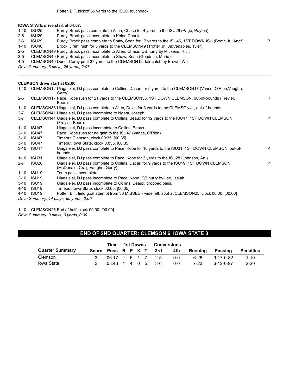#### **IOWA STATE drive start at 04:07.**

- 1-10 ISU25 Purdy, Brock pass complete to Allen, Chase for 4 yards to the ISU29 (Page, Payton).
- 2-6 ISU29 Purdy, Brock pass incomplete to Kolar, Charlie.
- 3-6 ISU29 Purdy, Brock pass complete to Shaw, Sean for 17 yards to the ISU46, 1ST DOWN ISU (Booth Jr., Andr). P
- 1-10 ISU46 Brock, Jirehl rush for 5 yards to the CLEMSON49 (Trotter Jr., Je;Venables, Tyler).
- 2-5 CLEMSON49 Purdy, Brock pass incomplete to Allen, Chase, QB hurry by Mickens, R.J..
- 3-5 CLEMSON49 Purdy, Brock pass incomplete to Shaw, Sean (Goodrich, Mario).
- 4-5 CLEMSON49 Dunn, Corey punt 37 yards to the CLEMSON12, fair catch by Brown, Will.

*Drive Summary: 6 plays, 26 yards, 2:07*

#### **CLEMSON drive start at 02:00.**

| 1-10     |                   | CLEMSON12 Uiagalelei, DJ pass complete to Collins, Dacari for 5 yards to the CLEMSON17 (Vance, O'Rien;Vaughn,<br>Gerry).        |    |
|----------|-------------------|---------------------------------------------------------------------------------------------------------------------------------|----|
| $2 - 5$  |                   | CLEMSON17 Pace, Kobe rush for 21 yards to the CLEMSON38, 1ST DOWN CLEMSON, out-of-bounds (Freyler,<br>Beau).                    | R. |
| $1 - 10$ |                   | CLEMSON38 Uiagalelei, DJ pass complete to Allen, Davis for 3 yards to the CLEMSON41, out-of-bounds.                             |    |
| $2 - 7$  |                   | CLEMSON41 Uiagalelei, DJ pass incomplete to Ngata, Joseph.                                                                      |    |
| $3 - 7$  |                   | CLEMSON41 Uiagalelei, DJ pass complete to Collins, Beaux for 12 yards to the ISU47, 1ST DOWN CLEMSON<br>(Freyler, Beau).        | P  |
| $1 - 10$ | ISU47             | Uiagalelei, DJ pass incomplete to Collins, Beaux.                                                                               |    |
| $2 - 10$ | ISU <sub>47</sub> | Pace, Kobe rush for no gain to the ISU47 (Vance, O'Rien).                                                                       |    |
| $3 - 10$ | ISU <sub>47</sub> | Timeout Clemson, clock 00:35, [00:35]                                                                                           |    |
| $3 - 10$ | ISU47             | Timeout Iowa State, clock 00:35. [00:35]                                                                                        |    |
| $3 - 10$ | ISU <sub>47</sub> | Uiagalelei, DJ pass complete to Pace, Kobe for 16 yards to the ISU31, 1ST DOWN CLEMSON, out-of-<br>bounds.                      | P  |
| $1 - 10$ | ISU31             | Uiagalelei, DJ pass complete to Pace, Kobe for 3 yards to the ISU28 (Johnson, An.).                                             |    |
| $2 - 7$  | ISU28             | Uiagalelei, DJ pass complete to Collins, Dacari for 9 yards to the ISU19, 1ST DOWN CLEMSON<br>(McDonald, Craig; Vaughn, Gerry). | P  |
| $1 - 10$ | ISU <sub>19</sub> | Team pass incomplete.                                                                                                           |    |
| $2 - 10$ | ISU <sub>19</sub> | Uiagalelei, DJ pass incomplete to Pace, Kobe, QB hurry by Lee, Isaiah.                                                          |    |
| $3 - 10$ | ISU <sub>19</sub> | Uiagalelei, DJ pass incomplete to Collins, Beaux, dropped pass.                                                                 |    |
| $4 - 10$ | ISU <sub>19</sub> | Timeout Iowa State, clock 00:05. [00:05]                                                                                        |    |
| 4-10     | ISU19             | Potter, B.T. field goal attempt from 36 MISSED - wide left, spot at CLEMSON25, clock 00:00. [00:00]                             |    |
|          |                   | Drive Summary: 14 plays, 69 yards, 2:00                                                                                         |    |

1-10 CLEMSON25 End of half, clock 00:00. [00:00]

*Drive Summary: 0 plays, 0 yards, 0:00*

# **END OF 2ND QUARTER: CLEMSON 6, IOWA STATE 3**

|                        | 1st Downs<br>Time  |                                         |  |  |  | Conversions |         |            |         |           |                  |
|------------------------|--------------------|-----------------------------------------|--|--|--|-------------|---------|------------|---------|-----------|------------------|
| <b>Quarter Summary</b> | Score Poss R P X T |                                         |  |  |  |             | 3rd     | 4th        | Rushina | Passing   | <b>Penalties</b> |
| Clemson                |                    | 06.17 1 5 1 7                           |  |  |  |             | $2 - 5$ | <u>ດ-ດ</u> | 6-26    | 9-17-0-82 | $1 - 10$         |
| <b>lowa State</b>      |                    | $08.43 \quad 1 \quad 4 \quad 0 \quad 5$ |  |  |  |             | - 3-6   | 0-0        | 7-23    | 6-12-0-97 | $2 - 20$         |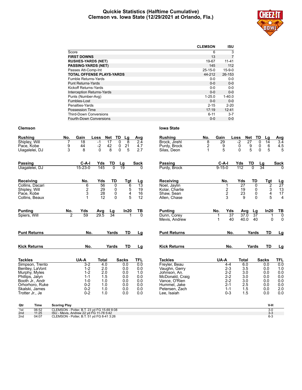#### **Quickie Statistics (Halftime Cumulative) Clemson vs. Iowa State (12/29/2021 at Orlando, Fla.)**



|                                   | <b>CLEMSON</b> | <b>ISU</b>   |
|-----------------------------------|----------------|--------------|
| Score                             | 6              | 3            |
| <b>FIRST DOWNS</b>                | 13             | 7            |
| <b>RUSHES-YARDS (NET)</b>         | 19-67          | $11 - 41$    |
| <b>PASSING-YARDS (NET)</b>        | 145            | 112          |
| Passes Att-Comp-Int               | $25 - 15 - 0$  | $15 - 9 - 0$ |
| <b>TOTAL OFFENSE PLAYS-YARDS</b>  | 44-212         | 26-153       |
| Fumble Returns-Yards              | $0 - 0$        | $0-0$        |
| <b>Punt Returns-Yards</b>         | $0 - 0$        | $0-0$        |
| Kickoff Returns-Yards             | $0 - 0$        | $0 - 0$      |
| <b>Interception Returns-Yards</b> | $0 - 0$        | $0 - 0$      |
| Punts (Number-Avg)                | $1 - 25.0$     | $1 - 40.0$   |
| Fumbles-Lost                      | $0 - 0$        | $0 - 0$      |
| Penalties-Yards                   | $2 - 15$       | $2 - 20$     |
| Possession Time                   | 17:19          | 12:41        |
| <b>Third-Down Conversions</b>     | $6 - 11$       | $3 - 7$      |
| Fourth-Down Conversions           | $0 - 0$        | $0 - 0$      |

| <b>Rushing</b>                    | No.                                                                                  | Gain               | Loss            | Net<br>TD              | Lg                          | Avg                   | <b>Rushing</b>                 | No.         | Gain         | Loss                  |              | Net                   | TD<br>Lg                                   | Avg                           |
|-----------------------------------|--------------------------------------------------------------------------------------|--------------------|-----------------|------------------------|-----------------------------|-----------------------|--------------------------------|-------------|--------------|-----------------------|--------------|-----------------------|--------------------------------------------|-------------------------------|
| Shipley, Will<br>Pace, Kobe       | 9                                                                                    | 18<br>44           | $-1$<br>$-2$    | $\overline{17}$<br>42  | $\mathbf 0$<br>8<br>21<br>0 | 2.4<br>4.7            | Brock, Jirehl<br>Purdy, Brock  | 8<br>2      | 29<br>9      |                       | $-2$<br>0    | $\overline{27}$       | 0<br>14<br>0<br>6                          | 3.4<br>4.5                    |
| Uiagalelei, DJ                    | 3                                                                                    | 8                  | $\Omega$        | 8                      | 0<br>5                      | 2.7                   | Silas, Deon                    | $\mathbf 1$ | 5            |                       | $\mathbf 0$  | $\frac{9}{5}$         | 5<br>$\mathbf{0}$                          | 5                             |
| Passing                           |                                                                                      | C-A-I              | Yds             | TD                     | Lg                          | Sack                  | <b>Passing</b>                 |             | $C-A-I$      |                       | Yds          | TD                    | Lg                                         | <b>Sack</b>                   |
| Uiagalelei, DJ                    |                                                                                      | $15 - 23 - 0$      | 145             | $\overline{0}$         | $\overline{19}$             |                       | Purdy, Brock                   |             | $9 - 15 - 0$ |                       | 112          | $\overline{0}$        | 34                                         | $\Omega$                      |
| Receiving                         |                                                                                      | No.                | Yds             | TD                     | Tgt                         | <u>Lg</u>             | Receiving                      |             | No.          |                       | Yds          | <b>TD</b>             | Tgt                                        | $\frac{Lg}{27}$               |
| Collins, Dacari<br>Shipley, Will  |                                                                                      | 6                  | 56<br>29        | 0<br>0                 | 6<br>5                      | $\overline{13}$<br>19 | Noel, Jaylin<br>Kolar, Charlie |             |              | 1                     | 27<br>19     | 0<br>0                | $\overline{2}$                             | 13                            |
| Pace, Kobe                        |                                                                                      | $\frac{2}{3}$      | $\frac{28}{12}$ | 0                      | 4                           | 16                    | Shaw, Sean                     |             |              | $\frac{2}{3}$         | 23           | 0                     | $\begin{array}{c} 3 \\ 4 \\ 5 \end{array}$ | 17                            |
| Collins, Beaux                    |                                                                                      | 1                  |                 | $\mathbf{0}$           | 5                           | 12                    | Allen, Chase                   |             |              |                       | 9            |                       | $\Omega$                                   | $\overline{4}$                |
| <b>Punting</b>                    | No.                                                                                  | Yds                | Avg             | $\frac{\text{Lg}}{34}$ | In20                        | ТВ                    | <b>Punting</b>                 |             | No.          | Yds                   | Avg          | Lg                    | In20                                       | $\frac{TB}{0}$                |
| Spiers, Will                      | 2                                                                                    | 59                 | 29.5            |                        |                             | $\overline{0}$        | Dunn, Corey<br>Mevis, Andrew   |             | 1<br>1       | $\overline{37}$<br>40 | 37.0<br>40.0 | $\overline{37}$<br>40 |                                            | 1<br>$\Omega$<br>$\mathbf{0}$ |
| <b>Punt Returns</b>               |                                                                                      | No.                |                 | Yards                  | <b>TD</b>                   | Lg                    | <b>Punt Returns</b>            |             |              | No.                   |              | Yards                 | <b>TD</b>                                  | Lg                            |
| <b>Kick Returns</b>               |                                                                                      | No.                |                 | Yards                  | TD                          | Lg                    | <b>Kick Returns</b>            |             |              | No.                   |              | Yards                 | TD                                         | Lg                            |
| <b>Tackles</b>                    |                                                                                      | UA-A               | <b>Total</b>    |                        | <b>Sacks</b>                | TFL                   | <b>Tackles</b>                 |             | UA-A         |                       | <b>Total</b> |                       | <b>Sacks</b>                               | TFL                           |
| Simpson, Trento                   |                                                                                      | $3 - 2$            | 4.0             |                        | 0.0                         | 0.0                   | Freyler, Beau                  |             |              | $4 - 4$               | 6.0          |                       | 0.0                                        | 0.0                           |
| Bentley, LaVont<br>Murphy, Myles  |                                                                                      | $1 - 2$<br>$1 - 2$ | 2.0<br>2.0      |                        | 0.0<br>0.0                  | 0.0<br>1.0            | Vaughn, Gerry<br>Johnson, An.  |             |              | $2 - 3$<br>$2 - 2$    | 3.5<br>3.0   |                       | 0.0<br>0.0                                 | 1.0<br>0.0                    |
| Phillips, Jalyn                   |                                                                                      | $1 - 1$            | 1.5             |                        | 0.0                         | 0.0                   | McDonald, Craig                |             |              | $2 - 2$               | 3.0          |                       | 0.0                                        | 0.0                           |
| Booth Jr., Andr                   |                                                                                      | $1 - 0$            | 1.0             |                        | 0.0                         | 0.0                   | Vance, O'Rien                  |             |              | $2 - 2$               | 3.0          |                       | 0.0                                        | 0.0                           |
| Orhorhoro, Ruke                   |                                                                                      | $0 - 2$            | 1.0             |                        | 0.0                         | 0.0                   | Hummel, Jake                   |             |              | $2 - 1$               | 2.5          |                       | 0.0                                        | 0.0                           |
| Skalski, James<br>Trotter Jr., Je |                                                                                      | $0 - 2$<br>$0 - 2$ | 1.0<br>1.0      |                        | 0.0<br>0.0                  | 0.0<br>0.0            | Petersen, Zach<br>Lee, Isaiah  |             |              | $1 - 1$<br>$0 - 3$    | 1.5<br>1.5   |                       | 0.0<br>0.0                                 | 2.0<br>0.0                    |
| Qtr<br>Time                       | <b>Scoring Play</b>                                                                  |                    |                 |                        |                             |                       |                                |             |              |                       |              |                       | V-H                                        |                               |
| 1st<br>06:52                      | CLEMSON - Potter, B.T. 23 yd FG 15-69 8:08                                           |                    |                 |                        |                             |                       |                                |             |              |                       |              |                       | $3 - 0$                                    |                               |
| 11:25<br>2nd<br>2nd<br>04:07      | ISU - Mevis, Andrew 22 yd FG 11-78 5:42<br>CLEMSON - Potter, B.T. 51 yd FG 8-41 3:26 |                    |                 |                        |                             |                       |                                |             |              |                       |              |                       | $3 - 3$<br>$6 - 3$                         |                               |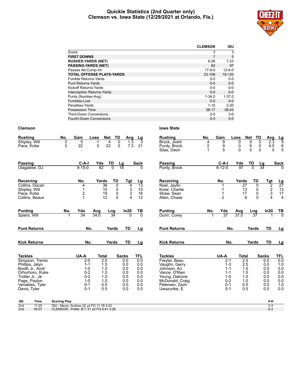#### **Quickie Statistics (2nd Quarter only) Clemson vs. Iowa State (12/29/2021 at Orlando, Fla.)**



|                                   | <b>CLEMSON</b> | <b>ISU</b>   |
|-----------------------------------|----------------|--------------|
| Score                             | 3              | 3            |
| <b>FIRST DOWNS</b>                | 7              | 5            |
| <b>RUSHES-YARDS (NET)</b>         | $6 - 26$       | $7-23$       |
| <b>PASSING-YARDS (NET)</b>        | 82             | 97           |
| Passes Att-Comp-Int               | $17-9-0$       | $12 - 6 - 0$ |
| <b>TOTAL OFFENSE PLAYS-YARDS</b>  | 23-108         | 19-120       |
| <b>Fumble Returns-Yards</b>       | $0 - 0$        | $0-0$        |
| <b>Punt Returns-Yards</b>         | $0 - 0$        | $0 - 0$      |
| Kickoff Returns-Yards             | $0 - 0$        | $0 - 0$      |
| <b>Interception Returns-Yards</b> | $0 - 0$        | $0 - 0$      |
| Punts (Number-Avg)                | $1 - 34.0$     | $1 - 37.0$   |
| Fumbles-Lost                      | $0 - 0$        | $0 - 0$      |
| Penalties-Yards                   | $1 - 10$       | $2 - 20$     |
| Possession Time                   | 06:17          | 08:43        |
| <b>Third-Down Conversions</b>     | $2 - 5$        | $3-6$        |
| Fourth-Down Conversions           | $0 - 0$        | $0 - 0$      |

| <b>Rushing</b><br>Shipley, Will<br>Pace, Kobe                                                                                                                    | No.<br>3<br>3       | Gain<br>5<br>22                                                                              | Loss<br>Net<br>$-1$<br>4<br>22<br>0                                  | TD<br>Avg<br>0<br>1.3<br>$\mathbf 0$<br>7.3                          | Lg<br>3<br>21                                                      | <b>Rushing</b><br>Brock. Jirehl<br>Purdy, Brock<br>Silas, Deon                                                                                            | No.<br>4<br>2 | Gain<br>9<br>9<br>5                                                                          | Loss<br>0<br>0<br>$\Omega$           | Net<br>$\overline{9}$<br>$\frac{9}{5}$               | TD<br>Avg<br>0<br>0<br>0                                             | $\frac{Lg}{5}$<br>$\overline{2.3}$<br>4.5<br>6<br>5<br>5                              |
|------------------------------------------------------------------------------------------------------------------------------------------------------------------|---------------------|----------------------------------------------------------------------------------------------|----------------------------------------------------------------------|----------------------------------------------------------------------|--------------------------------------------------------------------|-----------------------------------------------------------------------------------------------------------------------------------------------------------|---------------|----------------------------------------------------------------------------------------------|--------------------------------------|------------------------------------------------------|----------------------------------------------------------------------|---------------------------------------------------------------------------------------|
| Passing<br>Uiagalelei, DJ                                                                                                                                        |                     | C-A-I<br>$9 - 15 - 0$                                                                        | <u>Yds</u><br><b>TD</b><br>82                                        | $\frac{\text{Lg}}{16}$<br>$\overline{0}$                             | <b>Sack</b><br><sup>n</sup>                                        | Passing<br>Purdy, Brock                                                                                                                                   |               | $C-A-I$<br>$6 - 12 - 0$                                                                      | Yds<br>97                            | TD<br>$\overline{0}$                                 | $\frac{\text{Lg}}{34}$                                               | <b>Sack</b>                                                                           |
| Receiving<br>Collins, Dacari<br>Shipley, Will<br>Pace, Kobe<br>Collins, Beaux                                                                                    |                     | No.<br>4<br>1<br>$\frac{2}{1}$                                                               | Yards<br>$\overline{38}$<br>10<br>19<br>12                           | TD<br>Tgt<br>0<br>4<br>0<br>$\frac{3}{3}$<br>0<br>$\Omega$<br>4      | Lg<br>$\overline{13}$<br>10<br>16<br>12                            | Receiving<br>Noel, Jaylin<br>Kolar, Charlie<br>Shaw, Sean<br>Allen, Chase                                                                                 |               | No.<br>$\overline{2}$                                                                        | Yards<br>$\overline{27}$<br>13<br>17 | TD<br>6                                              | Tgt<br>0<br>0<br>0<br>$\Omega$                                       | $\frac{Lg}{27}$<br>$\overline{2}$<br>$\frac{2}{3}$<br>13<br>17<br>4<br>$\overline{4}$ |
| <b>Punting</b><br>Spiers, Will                                                                                                                                   | No.<br>1            | Yds<br>34                                                                                    | Avg<br>Lng<br>34.0                                                   | In20<br>34<br>$\Omega$                                               | TВ<br>$\overline{0}$                                               | <b>Punting</b><br>Dunn, Corey                                                                                                                             | No.<br>1      | Yds<br>37                                                                                    | Avg<br>37.0                          | Lng<br>$\overline{37}$                               | In20                                                                 | $\frac{TB}{0}$                                                                        |
| <b>Punt Returns</b>                                                                                                                                              |                     | No.                                                                                          |                                                                      | TD<br>Yards                                                          | Lg                                                                 | <b>Punt Returns</b>                                                                                                                                       |               | No.                                                                                          |                                      | Yards                                                | TD                                                                   | Lg                                                                                    |
| <b>Kick Returns</b>                                                                                                                                              |                     | No.                                                                                          | Yards                                                                | <b>TD</b>                                                            | Lg                                                                 | <b>Kick Returns</b>                                                                                                                                       |               | No.                                                                                          |                                      | Yards                                                | <b>TD</b>                                                            | Lg                                                                                    |
| <b>Tackles</b><br>Simpson, Trento<br>Phillips, Jalyn<br>Booth Jr., Andr<br>Orhorhoro, Ruke<br>Trotter Jr., Je<br>Page, Payton<br>Venables, Tyler<br>Davis, Tyler |                     | UA-A<br>$2 - 0$<br>$1 - 1$<br>$1 - 0$<br>$0 - 2$<br>$0 - 2$<br>$1 - 0$<br>$0 - 1$<br>$0 - 1$ | <b>Total</b><br>2.0<br>1.5<br>1.0<br>1.0<br>1.0<br>1.0<br>0.5<br>0.5 | <b>Sacks</b><br>0.0<br>0.0<br>0.0<br>0.0<br>0.0<br>0.0<br>0.0<br>0.0 | <b>TFL</b><br>0.0<br>0.0<br>0.0<br>0.0<br>0.0<br>0.0<br>0.0<br>0.0 | <b>Tackles</b><br>Freyler, Beau<br>Vaughn, Gerry<br>Johnson, An.<br>Vance, O'Rien<br>Young, Datrone<br>McDonald, Craig<br>Petersen, Zach<br>Uwazurike, E. |               | UA-A<br>$2 - 1$<br>$1 - 3$<br>$1 - 1$<br>$1 - 1$<br>$1 - 0$<br>$0 - 2$<br>$0 - 1$<br>$0 - 1$ | Total                                | 2.5<br>2.5<br>1.5<br>1.5<br>1.0<br>1.0<br>0.5<br>0.5 | <b>Sacks</b><br>0.0<br>0.0<br>0.0<br>0.0<br>0.0<br>0.0<br>0.0<br>0.0 | <b>TFL</b><br>0.0<br>1.0<br>0.0<br>0.0<br>0.0<br>0.0<br>1.0<br>0.0                    |
| Qtr<br>Time                                                                                                                                                      | <b>Scoring Play</b> |                                                                                              |                                                                      |                                                                      |                                                                    |                                                                                                                                                           |               |                                                                                              |                                      |                                                      | V-H                                                                  |                                                                                       |

| _____ |       |                                           |     |
|-------|-------|-------------------------------------------|-----|
| 2nd   | 11:25 | ISU - Mevis, Andrew 22 yd FG 11-78 5:42   |     |
| 2nd   | 04:07 | CLEMSON - Potter, B.T. 51 yd FG 8-41 3:26 | b-3 |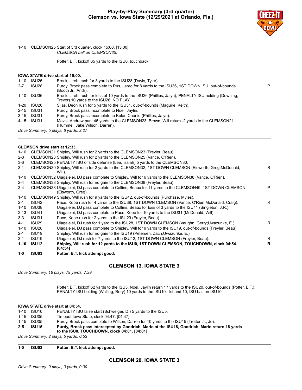

#### 1-10 CLEMSON25 Start of 3rd quarter, clock 15:00. [15:00] *CLEMSON ball on CLEMSON35.*

Potter, B.T. kickoff 65 yards to the ISU0, touchback.

#### **IOWA STATE drive start at 15:00.**

| ISU25 | Brock, Jirehl rush for 3 yards to the ISU28 (Davis, Tyler).                                                                                      |   |
|-------|--------------------------------------------------------------------------------------------------------------------------------------------------|---|
| ISU28 | Purdy, Brock pass complete to Rus, Jared for 8 yards to the ISU36, 1ST DOWN ISU, out-of-bounds<br>(Booth Jr., Andr).                             | P |
| ISU36 | Brock, Jirehl rush for loss of 10 yards to the ISU26 (Phillips, Jalyn), PENALTY ISU holding (Downing,<br>Trevor) 10 yards to the ISU26, NO PLAY. |   |
| ISU26 | Silas, Deon rush for 5 yards to the ISU31, out-of-bounds (Maguire, Keith).                                                                       |   |
|       | Purdy, Brock pass incomplete to Noel, Jaylin.                                                                                                    |   |
|       | Purdy, Brock pass incomplete to Kolar, Charlie (Phillips, Jalyn).                                                                                |   |
|       | Mevis, Andrew punt 46 yards to the CLEMSON23, Brown, Will return -2 yards to the CLEMSON21<br>(Hummel, Jake; Wilson, Darren).                    |   |
|       | ISU31<br>ISU31<br>4-15 ISU31                                                                                                                     |   |

*Drive Summary: 5 plays, 6 yards, 2:27*

# **CLEMSON drive start at 12:33.**

| $1-0$    | ISU03                         | Potter, B.T. kick attempt good.                                                                                               |    |
|----------|-------------------------------|-------------------------------------------------------------------------------------------------------------------------------|----|
| 1-10     | <b>ISU12</b>                  | Shipley, Will rush for 12 yards to the ISU0, 1ST DOWN CLEMSON, TOUCHDOWN, clock 04:54.<br>[04:54]                             | R  |
| $3 - 1$  | ISU <sub>19</sub>             | Uiagalelei, DJ rush for 7 yards to the ISU12, 1ST DOWN CLEMSON (Freyler, Beau).                                               | R  |
| $2 - 1$  | <b>ISU19</b>                  | Shipley, Will rush for no gain to the ISU19 (Petersen, Zach; Uwazurike, E.).                                                  |    |
| $1 - 10$ | ISU <sub>28</sub>             | Uiagalelei, DJ pass complete to Shipley, Will for 9 yards to the ISU19, out-of-bounds (Freyler, Beau).                        |    |
| 4-1      | ISU29                         | Uiagalelei, DJ rush for 1 yard to the ISU28, 1ST DOWN CLEMSON (Vaughn, Gerry;Uwazurike, E.).                                  | R. |
| $3 - 3$  | ISU31                         | Pace, Kobe rush for 2 yards to the ISU29 (Freyler, Beau).                                                                     |    |
| $2 - 13$ | ISU41                         | Uiagalelei, DJ pass complete to Pace, Kobe for 10 yards to the ISU31 (McDonald, Will).                                        |    |
| $1 - 10$ | ISU38                         | Uiagalelei, DJ pass complete to Collins, Beaux for loss of 3 yards to the ISU41 (Singleton, J.R.).                            |    |
| $2 - 1$  | ISU42                         | Pace, Kobe rush for 4 yards to the ISU38, 1ST DOWN CLEMSON (Vance, O'Rien; McDonald, Craig).                                  | R. |
| 1-10     |                               | CLEMSON49 Shipley, Will rush for 9 yards to the ISU42, out-of-bounds (Purchase, Myles).                                       |    |
| 3-4      |                               | CLEMSON38 Uiagalelei, DJ pass complete to Collins, Beaux for 11 yards to the CLEMSON49, 1ST DOWN CLEMSON<br>(Eisworth, Greg). | P  |
| 2-4      |                               | CLEMSON38 Shipley, Will rush for no gain to the CLEMSON38 (Freyler, Beau).                                                    |    |
| 1-10     |                               | CLEMSON32 Uiagalelei, DJ pass complete to Shipley, Will for 6 yards to the CLEMSON38 (Vance, O'Rien).                         |    |
| $3 - 1$  |                               | CLEMSON30 Shipley, Will rush for 2 yards to the CLEMSON32, 1ST DOWN CLEMSON (Eisworth, Greg;McDonald,<br>Will).               | R. |
| 3-6      |                               | CLEMSON25 PENALTY ISU offside defense (Lee, Isaiah) 5 yards to the CLEMSON30.                                                 |    |
| $2 - 8$  |                               | CLEMSON23 Shipley, Will rush for 2 yards to the CLEMSON25 (Vance, O'Rien).                                                    |    |
| 1-10     |                               | CLEMSON21 Shipley, Will rush for 2 yards to the CLEMSON23 (Freyler, Beau).                                                    |    |
|          | OLLINOON UITVO SLUIL UL TA.OO |                                                                                                                               |    |

# **CLEMSON 13, IOWA STATE 3**

*Drive Summary: 16 plays, 79 yards, 7:39*

Potter, B.T. kickoff 62 yards to the ISU3, Noel, Jaylin return 17 yards to the ISU20, out-of-bounds (Potter, B.T.), PENALTY ISU holding (Walling, Rory) 10 yards to the ISU10, 1st and 10, ISU ball on ISU10.

#### **IOWA STATE drive start at 04:54.**

| 1-10 | ISU10      | PENALTY ISU false start (Schweiger, D.) 5 yards to the ISU5.                                                                                   |
|------|------------|------------------------------------------------------------------------------------------------------------------------------------------------|
|      | 1-15 ISU05 | Timeout Iowa State, clock 04:47, [04:47]                                                                                                       |
| 1-15 | ISU05      | Purdy, Brock pass complete to Wilson, Darren for 10 yards to the ISU15 (Trotter Jr., Je).                                                      |
| 2-5  | ISU15      | Purdy, Brock pass intercepted by Goodrich, Mario at the ISU18, Goodrich, Mario return 18 yards<br>to the ISU0, TOUCHDOWN, clock 04:01. [04:01] |
| .    |            |                                                                                                                                                |

*Drive Summary: 2 plays, 5 yards, 0:53*

**1-0 ISU03 Potter, B.T. kick attempt good.**

**CLEMSON 20, IOWA STATE 3**

*Drive Summary: 0 plays, 0 yards, 0:00*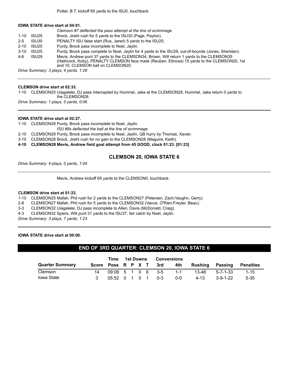#### **IOWA STATE drive start at 04:01.**

|          |                   | Clemson #7 deflected the pass attempt at the line of scrimmage                                                                                                                                                                  |
|----------|-------------------|---------------------------------------------------------------------------------------------------------------------------------------------------------------------------------------------------------------------------------|
| $1 - 10$ | ISU <sub>25</sub> | Brock, Jirehl rush for 5 yards to the ISU30 (Page, Payton).                                                                                                                                                                     |
| $2 - 5$  | ISU30             | PENALTY ISU false start (Rus. Jared) 5 yards to the ISU25.                                                                                                                                                                      |
| $2 - 10$ | ISU25             | Purdy, Brock pass incomplete to Noel, Jaylin.                                                                                                                                                                                   |
| $3 - 10$ | ISU <sub>25</sub> | Purdy, Brock pass complete to Noel, Jaylin for 4 yards to the ISU29, out-of-bounds (Jones, Sheridan).                                                                                                                           |
| 4-6      | ISU <sub>29</sub> | Mevis, Andrew punt 37 yards to the CLEMSON34, Brown, Will return 1 yards to the CLEMSON35<br>(Hathcock, Koby), PENALTY CLEMSON face mask (Reuben, Etinosa) 15 yards to the CLEMSON20, 1st<br>and 10. CLEMSON ball on CLEMSON20. |
|          |                   | Drive Summary: 3 plays, 4 yards, 1:28                                                                                                                                                                                           |

#### **CLEMSON drive start at 02:33.**

1-10 CLEMSON20 Uiagalelei, DJ pass intercepted by Hummel, Jake at the CLEMSON28, Hummel, Jake return 0 yards to the CLEMSON28.

*Drive Summary: 1 plays, 0 yards, 0:06*

#### **IOWA STATE drive start at 02:27.**

1-10 CLEMSON28 Purdy, Brock pass incomplete to Noel, Jaylin.

*ISU #9x deflected the ball at the line of scrimmage*

- 2-10 CLEMSON28 Purdy, Brock pass incomplete to Noel, Jaylin, QB hurry by Thomas, Xavier.
- 3-10 CLEMSON28 Brock, Jirehl rush for no gain to the CLEMSON28 (Maguire, Keith).

**4-10 CLEMSON28 Mevis, Andrew field goal attempt from 45 GOOD, clock 01:23. [01:23]**

#### **CLEMSON 20, IOWA STATE 6**

*Drive Summary: 4 plays, 0 yards, 1:04*

Mevis, Andrew kickoff 65 yards to the CLEMSON0, touchback.

#### **CLEMSON drive start at 01:23.**

1-10 CLEMSON25 Mafah, Phil rush for 2 yards to the CLEMSON27 (Petersen, Zach;Vaughn, Gerry).

2-8 CLEMSON27 Mafah, Phil rush for 5 yards to the CLEMSON32 (Vance, O'Rien;Freyler, Beau).

3-3 CLEMSON32 Uiagalelei, DJ pass incomplete to Allen, Davis (McDonald, Craig).

4-3 CLEMSON32 Spiers, Will punt 31 yards to the ISU37, fair catch by Noel, Jaylin.

*Drive Summary: 3 plays, 7 yards, 1:23*

#### **IOWA STATE drive start at 00:00.**

#### **END OF 3RD QUARTER: CLEMSON 20, IOWA STATE 6**

|                        |                        | Time              | 1st Downs |  | <b>Conversions</b> |       |         |         |            |           |
|------------------------|------------------------|-------------------|-----------|--|--------------------|-------|---------|---------|------------|-----------|
| <b>Quarter Summary</b> | Score Poss R P X T 3rd |                   |           |  |                    |       | 4th     | Rushina | Passing    | Penalties |
| Clemson                |                        | 09:08 5 1 0 6 3-5 |           |  |                    |       | $1 - 1$ | 13-48   | 5-7-1-33   | $1 - 15$  |
| Iowa State             |                        | 05:52 0 1 0 1     |           |  |                    | - 0-3 | 0-0     | 4-13    | $3-9-1-22$ | $5 - 35$  |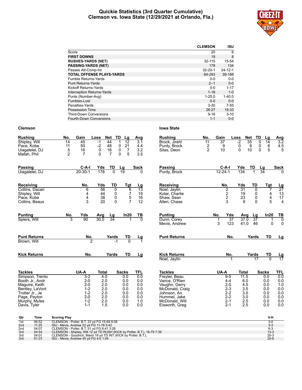#### **Quickie Statistics (3rd Quarter Cumulative) Clemson vs. Iowa State (12/29/2021 at Orlando, Fla.)**



|                                  | <b>CLEMSON</b> | <b>ISU</b>    |
|----------------------------------|----------------|---------------|
| Score                            | 20             | 6             |
| <b>FIRST DOWNS</b>               | 19             | 8             |
| <b>RUSHES-YARDS (NET)</b>        | 32-115         | 15-54         |
| <b>PASSING-YARDS (NET)</b>       | 178            | 134           |
| Passes Att-Comp-Int              | $32 - 20 - 1$  | $24 - 12 - 1$ |
| <b>TOTAL OFFENSE PLAYS-YARDS</b> | 64-293         | 39-188        |
| Fumble Returns-Yards             | $0 - 0$        | $0-0$         |
| <b>Punt Returns-Yards</b>        | $2 - 1$        | $0 - 0$       |
| Kickoff Returns-Yards            | $0 - 0$        | $1 - 17$      |
| Interception Returns-Yards       | $1 - 18$       | $1 - 0$       |
| Punts (Number-Avg)               | $1 - 25.0$     | $1 - 40.0$    |
| Fumbles-Lost                     | $0 - 0$        | $0-0$         |
| Penalties-Yards                  | $3 - 30$       | $7 - 55$      |
| Possession Time                  | 26:27          | 18:33         |
| <b>Third-Down Conversions</b>    | $9 - 16$       | $3 - 10$      |
| <b>Fourth-Down Conversions</b>   | $1 - 1$        | $0 - 0$       |

| <b>Rushing</b>                                                   | No.                                      | Gain                             | Loss<br>Net                   | TD                                                    | Lg                                              | Avg                      | <b>Rushing</b>                                               | No.                 | Gain                       | Loss                                 |                       | TD<br><b>Net</b>                  | Lg                                                           | Avg                                                       |
|------------------------------------------------------------------|------------------------------------------|----------------------------------|-------------------------------|-------------------------------------------------------|-------------------------------------------------|--------------------------|--------------------------------------------------------------|---------------------|----------------------------|--------------------------------------|-----------------------|-----------------------------------|--------------------------------------------------------------|-----------------------------------------------------------|
| Shipley, Will<br>Pace, Kobe<br>Uiagalelei, DJ<br>Mafah, Phil     | 14<br>11<br>5<br>$\overline{2}$          | 45<br>50<br>16<br>$\overline{7}$ | $-1$<br>$-2$<br>0<br>$\Omega$ | 44<br>1<br>48<br>0<br>$\frac{16}{7}$<br>0<br>$\Omega$ | $\overline{12}$<br>21<br>$\overline{7}$<br>5    | 3.1<br>4.4<br>3.2<br>3.5 | Brock, Jirehl<br>Purdy, Brock<br>Silas, Deon                 | 11<br>$\frac{2}{2}$ | $\overline{37}$<br>9<br>10 |                                      | $-2$<br>0<br>$\Omega$ | 35<br>9<br>10                     | $\mathbf{0}$<br>14<br>$\pmb{0}$<br>6<br>5<br>0               | $3.\overline{2}$<br>$4.5$<br>5                            |
| <b>Passing</b><br>Uiagalelei, DJ                                 |                                          | $C-A-I$<br>$20 - 30 - 1$         | Yds<br>178                    | TD<br>$\Omega$                                        | Lg<br>$\overline{19}$                           | <b>Sack</b><br>O         | <b>Passing</b><br>Purdy, Brock                               |                     | $C-A-I$<br>$12 - 24 - 1$   |                                      | Yds<br>134            | TD<br>1                           | Lg<br>$\overline{34}$                                        | <b>Sack</b>                                               |
| Receiving                                                        |                                          | No.                              | Yds                           | TD                                                    | Tgt                                             | $\frac{Lg}{13}$          | Receiving                                                    |                     | No.                        |                                      | Yds                   | TD                                | Tgt                                                          | $\frac{Lg}{27}$                                           |
| Collins, Dacari<br>Shipley, Will<br>Pace, Kobe<br>Collins, Beaux |                                          | 6<br>4<br>4<br>3                 | 56<br>44<br>38<br>20          | 0<br>0<br>0<br>$\mathbf{0}$                           | 6<br>$\begin{array}{c} 7 \\ 5 \\ 7 \end{array}$ | 19<br>16<br>12           | Noel, Jaylin<br>Kolar, Charlie<br>Shaw, Sean<br>Allen, Chase |                     |                            | $\overline{2}$<br>$\frac{2}{2}$<br>3 | 31<br>19<br>23<br>9   | $\mathbf 0$<br>0<br>0<br>$\Omega$ | $\overline{7}$<br>$\begin{array}{c} 4 \\ 4 \\ 5 \end{array}$ | $\begin{array}{c} 13 \\ 17 \end{array}$<br>$\overline{4}$ |
| <b>Punting</b><br>Spiers, Will                                   | No.<br>3                                 | Yds<br>90                        | Avg<br>30.0                   | Lg<br>34                                              | In20                                            | TВ<br>$\overline{0}$     | <b>Punting</b><br>Dunn, Corey                                |                     | No.<br>$\mathbf{1}$        | Yds<br>$\overline{37}$               | Avg<br>37.0           | Lg<br>37                          | In20<br>1                                                    | TВ<br>Ō                                                   |
| <b>Punt Returns</b>                                              |                                          | No.                              |                               | Yards                                                 | TD                                              |                          | Mevis, Andrew<br><b>Punt Returns</b>                         |                     | 3                          | 123<br>No.                           | 41.0                  | 46<br>Yards                       | <b>TD</b>                                                    | $\mathbf 0$<br>0<br><u>Lg</u>                             |
| Brown, Will                                                      |                                          | $\overline{2}$                   |                               | $-1$                                                  | $\overline{0}$                                  | $\frac{Lg}{1}$           |                                                              |                     |                            |                                      |                       |                                   |                                                              |                                                           |
| <b>Kick Returns</b>                                              |                                          | No.                              |                               | Yards                                                 | TD                                              | Lg                       | <b>Kick Returns</b><br>Noel, Jaylin                          |                     |                            | No.<br>1                             |                       | Yards<br>17                       | TD<br>$\overline{0}$                                         | <u>Lg</u><br>17                                           |
| <b>Tackles</b>                                                   |                                          | UA-A                             | <b>Total</b>                  |                                                       | <b>Sacks</b>                                    | TFL                      | <b>Tackles</b>                                               |                     | UA-A                       |                                      | <b>Total</b>          |                                   | <b>Sacks</b>                                                 | TFL                                                       |
| Simpson, Trento<br>Booth Jr., Andr                               |                                          | $3-2$<br>$2 - 0$                 | 4.0<br>2.0                    |                                                       | 0.0<br>0.0                                      | 0.0<br>0.0               | Freyler, Beau<br>Vance, O'Rien                               |                     |                            | $9 - 5$<br>$4 - 4$                   | 11.5<br>6.0           |                                   | 0.0<br>0.0                                                   | 0.0<br>0.0                                                |
| Maguire, Keith                                                   |                                          | $2 - 0$                          | 2.0                           |                                                       | 0.0                                             | 0.0                      | Vaughn, Gerry                                                |                     |                            | $2 - 5$                              | 4.5                   |                                   | 0.0                                                          | 1.0                                                       |
| Bentley, LaVont                                                  |                                          | $1 - 2$                          | 2.0                           |                                                       | 0.0                                             | 0.0                      | McDonald, Craig                                              |                     |                            | $2 - 3$                              | 3.5                   |                                   | 0.0                                                          | 0.0                                                       |
| Trotter Jr., Je                                                  |                                          | $1 - 2$                          | 2.0                           |                                                       | 0.0                                             | 0.0                      | Johnson, An.                                                 |                     |                            | $2 - 2$                              | 3.0                   |                                   | 0.0                                                          | 0.0                                                       |
| Page, Payton<br>Murphy, Myles                                    |                                          | $2 - 0$<br>$1 - 2$               | 2.0<br>2.0                    |                                                       | 0.0<br>0.0                                      | 0.0<br>1.0               | Hummel, Jake<br>McDonald, Will                               |                     |                            | $2 - 2$<br>$2 - 1$                   | 3.0<br>2.5            |                                   | 0.0<br>0.0                                                   | 0.0<br>0.0                                                |
| Davis, Tyler                                                     |                                          | $1 - 1$                          | 1.5                           |                                                       | 0.0                                             | 0.0                      | Eisworth, Greg                                               |                     |                            | $2 - 1$                              | 2.5                   |                                   | 0.0                                                          | 0.0                                                       |
| Qtr<br>Time                                                      | <b>Scoring Play</b>                      |                                  |                               |                                                       |                                                 |                          |                                                              |                     |                            |                                      |                       |                                   | V-H                                                          |                                                           |
| $1$ et<br>06.52                                                  | CLEMSON - Potter B T 23 vd EG 15-69 8:08 |                                  |                               |                                                       |                                                 |                          |                                                              |                     |                            |                                      |                       |                                   | ∪-3                                                          |                                                           |

| 1st | 06:52 | CLEMSON - Potter, B.T. 23 yd FG 15-69 8:08                               |          |
|-----|-------|--------------------------------------------------------------------------|----------|
| 2nd | 11:25 | ISU - Mevis, Andrew 22 yd FG 11-78 5:42                                  | $3 - 3$  |
| 2nd | 04:07 | CLEMSON - Potter, B.T. 51 yd FG 8-41 3:26                                | $6 - 3$  |
| 3rd | 04:54 | CLEMSON - Shipley, Will 12 yd TD RUSH (KICK by Potter, B.T.), 16-79 7:39 | $13 - 3$ |
| 3rd | 04:01 | CLEMSON - Goodrich, Mario 18 yd TD INT (KICK by Potter, B.T.),           | $20-3$   |
| 3rd | 01:23 | ISU - Mevis, Andrew 45 yd FG 4-0 1:04                                    | $20 - 6$ |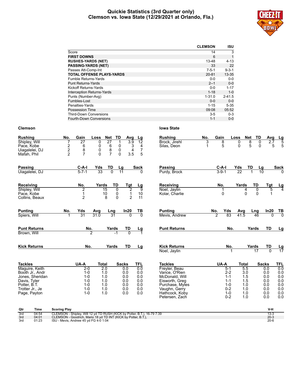#### **Quickie Statistics (3rd Quarter only) Clemson vs. Iowa State (12/29/2021 at Orlando, Fla.)**



|                                   | <b>CLEMSON</b> | <b>ISU</b>  |
|-----------------------------------|----------------|-------------|
| Score                             | 14             | 3           |
| <b>FIRST DOWNS</b>                | 6              |             |
| <b>RUSHES-YARDS (NET)</b>         | 13-48          | $4 - 13$    |
| <b>PASSING-YARDS (NET)</b>        | 33             | 22          |
| Passes Att-Comp-Int               | $7 - 5 - 1$    | $9 - 3 - 1$ |
| <b>TOTAL OFFENSE PLAYS-YARDS</b>  | $20 - 81$      | $13 - 35$   |
| Fumble Returns-Yards              | $0 - 0$        | $0-0$       |
| <b>Punt Returns-Yards</b>         | $2 - 1$        | $0 - 0$     |
| Kickoff Returns-Yards             | 0-0            | $1 - 17$    |
| <b>Interception Returns-Yards</b> | $1 - 18$       | $1 - 0$     |
| Punts (Number-Avg)                | $1 - 31.0$     | $2 - 41.5$  |
| Fumbles-Lost                      | $0 - 0$        | $0-0$       |
| Penalties-Yards                   | $1 - 15$       | $5 - 35$    |
| Possession Time                   | 09:08          | 05:52       |
| <b>Third-Down Conversions</b>     | $3-5$          | $0 - 3$     |
| <b>Fourth-Down Conversions</b>    | $1 - 1$        | $0 - 0$     |
|                                   |                |             |

| <b>Rushing</b><br>Shipley, Will<br>Pace, Kobe<br>Uiagalelei, DJ<br>Mafah, Phil                                                            | No.<br>7<br>$\frac{2}{2}$ | Gain<br>27<br>6<br>$\begin{array}{c} 8 \\ 7 \end{array}$                        | Loss<br>0<br>0<br>0<br>$\Omega$ | Net TD<br>27<br>6<br>8<br>7                                | Avg<br>$\overline{3.9}$<br>1<br>0<br>0<br>$\Omega$<br>3.5                  | Lg<br>$\overline{12}$<br>3<br>4<br>$\boldsymbol{7}$<br>4<br>5 | <b>Rushing</b><br>Brock, Jirehl<br>Silas, Deon                                                                                                               | No.<br>3 | Gain<br>8<br>5        | Loss                                                                                 | 0<br>0                                                               | Net<br>TD<br>$\overline{8}$<br>0<br>5<br>0 | Avg<br>$\overline{2.7}$<br>5                                         | $\frac{\text{Lg}}{5}$<br>5                                  |
|-------------------------------------------------------------------------------------------------------------------------------------------|---------------------------|---------------------------------------------------------------------------------|---------------------------------|------------------------------------------------------------|----------------------------------------------------------------------------|---------------------------------------------------------------|--------------------------------------------------------------------------------------------------------------------------------------------------------------|----------|-----------------------|--------------------------------------------------------------------------------------|----------------------------------------------------------------------|--------------------------------------------|----------------------------------------------------------------------|-------------------------------------------------------------|
| <b>Passing</b><br>Uiagalelei, DJ                                                                                                          |                           | $C-A-I$<br>$5 - 7 - 1$                                                          | Yds<br>33                       | TD<br>$\overline{0}$                                       | Lg<br>$\overline{11}$                                                      | <b>Sack</b><br><sup>0</sup>                                   | <b>Passing</b><br>Purdy, Brock                                                                                                                               |          | C-A-I<br>$3 - 9 - 1$  |                                                                                      | $\frac{\text{Yds}}{22}$                                              | TD                                         | $\frac{Lg}{10}$                                                      | <b>Sack</b>                                                 |
| Receiving<br>Shipley, Will<br>Pace, Kobe<br>Collins, Beaux                                                                                |                           | No.<br>2<br>1<br>$\overline{2}$                                                 | Yards                           | TD<br>$\overline{15}$<br>10<br>8                           | Tgt<br>$\overline{2}$<br>0<br>$\pmb{0}$<br>1<br>$\overline{2}$<br>$\Omega$ | $\frac{Lg}{9}$<br>10<br>11                                    | Receiving<br>Noel, Jaylin<br>Kolar, Charlie                                                                                                                  |          | No.<br>0              |                                                                                      | Yards<br>4<br>$\Omega$                                               | TD<br>0<br>$\Omega$                        | Tgt<br>5<br>1                                                        | $\frac{Lg}{4}$                                              |
| <b>Punting</b><br>Spiers, Will                                                                                                            | No.<br>1                  | Yds<br>31                                                                       | Avg<br>31.0                     | <b>Lng</b><br>31                                           | In20<br>$\overline{0}$                                                     | <u>тв</u><br>70                                               | <b>Punting</b><br>Mevis, Andrew                                                                                                                              |          | No.<br>$\overline{2}$ | Yds<br>83                                                                            | Avg<br>41.5                                                          | Lng<br>46                                  | In20<br>$\Omega$                                                     | $\frac{TB}{0}$                                              |
| <b>Punt Returns</b><br>Brown, Will                                                                                                        |                           |                                                                                 | $rac{No.}{2}$                   | Yards<br>-1                                                | TD<br>$\overline{0}$                                                       | Lg                                                            | <b>Punt Returns</b>                                                                                                                                          |          |                       | No.                                                                                  |                                                                      | Yards                                      | TD                                                                   | <u>Lg</u>                                                   |
| <b>Kick Returns</b>                                                                                                                       |                           | No.                                                                             |                                 | Yards                                                      | TD                                                                         | Lg                                                            | <b>Kick Returns</b><br>Noel, Jaylin                                                                                                                          |          |                       | No.                                                                                  |                                                                      | Yards<br>$\overline{17}$                   | TD<br>$\overline{0}$                                                 | <u>Lg</u><br>17                                             |
| <b>Tackles</b><br>Maguire, Keith<br>Booth Jr., Andr<br>Jones, Sheridan<br>Davis, Tyler<br>Potter, B.T.<br>Trotter Jr., Je<br>Page, Payton |                           | UA-A<br>$2-0$<br>$1 - 0$<br>$1 - 0$<br>$1 - 0$<br>$1 - 0$<br>$1 - 0$<br>$1 - 0$ | <b>Total</b>                    | $\overline{2.0}$<br>1.0<br>1.0<br>1.0<br>1.0<br>1.0<br>1.0 | <b>Sacks</b><br>0.0<br>0.0<br>0.0<br>0.0<br>0.0<br>0.0<br>0.0              | <b>TFL</b><br>0.0<br>0.0<br>0.0<br>0.0<br>0.0<br>0.0<br>0.0   | <b>Tackles</b><br>Freyler, Beau<br>Vance, O'Rien<br>McDonald, Will<br>Eisworth, Greg<br>Purchase, Myles<br>Vaughn, Gerry<br>Hathcock, Koby<br>Petersen, Zach |          | UA-A                  | $5 - 1$<br>$2 - 2$<br>$1 - 1$<br>$1 - 1$<br>$1 - 0$<br>$0 - 2$<br>$1 - 0$<br>$0 - 2$ | <b>Total</b><br>5.5<br>3.0<br>1.5<br>1.5<br>1.0<br>1.0<br>1.0<br>1.0 |                                            | <b>Sacks</b><br>0.0<br>0.0<br>0.0<br>0.0<br>0.0<br>0.0<br>0.0<br>0.0 | TFL<br>0.0<br>0.0<br>0.0<br>0.0<br>0.0<br>0.0<br>0.0<br>0.0 |

| Qtr | Time  | <b>Scoring Play</b>                                                      | V-H      |
|-----|-------|--------------------------------------------------------------------------|----------|
| 3rd | 04:54 | CLEMSON - Shipley, Will 12 yd TD RUSH (KICK by Potter, B.T.), 16-79 7:39 |          |
| 3rd | 04:01 | CLEMSON - Goodrich, Mario 18 yd TD INT (KICK by Potter, B.T.),           | $20 - 3$ |
| 3rd | 01:23 | ISU - Mevis, Andrew 45 yd FG 4-0 1:04                                    | $20 - 6$ |
|     |       |                                                                          |          |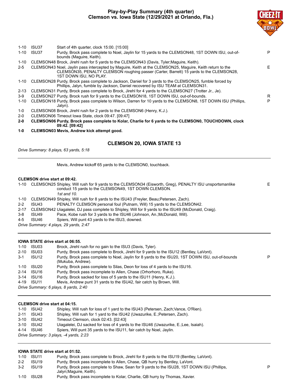# **Play-by-Play Summary (4th quarter) Clemson vs. Iowa State (12/29/2021 at Orlando, Fla.)**



P

| 1-10     | ISU37 | Start of 4th quarter, clock 15:00. [15:00]                                                                                                                                                                                    |    |
|----------|-------|-------------------------------------------------------------------------------------------------------------------------------------------------------------------------------------------------------------------------------|----|
| $1 - 10$ | ISU37 | Purdy, Brock pass complete to Noel, Jaylin for 15 yards to the CLEMSON48, 1ST DOWN ISU, out-of-<br>bounds (Maguire, Keith).                                                                                                   | P  |
| 1-10     |       | CLEMSON48 Brock, Jirehl rush for 5 yards to the CLEMSON43 (Davis, Tyler; Maguire, Keith).                                                                                                                                     |    |
| $2 - 5$  |       | CLEMSON43 Noel, Jaylin pass intercepted by Maguire, Keith at the CLEMSON25, Maguire, Keith return to the<br>CLEMSON35, PENALTY CLEMSON roughing passer (Carter, Barrett) 15 yards to the CLEMSON28,<br>1ST DOWN ISU. NO PLAY. | E. |
|          |       | 1-10 CLEMSON28 Purdy, Brock pass complete to Jackson, Daniel for 3 yards to the CLEMSON25, fumble forced by<br>Phillips, Jalyn, fumble by Jackson, Daniel recovered by ISU TEAM at CLEMSON31.                                 |    |
|          |       | 2-13 CLEMSON31 Purdy, Brock pass complete to Brock, Jirehl for 4 yards to the CLEMSON27 (Trotter Jr., Je).                                                                                                                    |    |
| $3-9$    |       | CLEMSON27 Purdy, Brock rush for 9 yards to the CLEMSON18, 1ST DOWN ISU, out-of-bounds.                                                                                                                                        | R  |
| $1 - 10$ |       | CLEMSON18 Purdy, Brock pass complete to Wilson, Darren for 10 yards to the CLEMSON8, 1ST DOWN ISU (Phillips,<br>Jalvn).                                                                                                       | P  |
| $1-0$    |       | CLEMSON08 Brock, Jirehl rush for 2 yards to the CLEMSON6 (Henry, K.J.).                                                                                                                                                       |    |
| $2 - 0$  |       | CLEMSON06 Timeout Iowa State, clock 09:47. [09:47]                                                                                                                                                                            |    |

- **2-0 CLEMSON06 Purdy, Brock pass complete to Kolar, Charlie for 6 yards to the CLEMSON0, TOUCHDOWN, clock 09:42. [09:42]**
- **1-0 CLEMSON03 Mevis, Andrew kick attempt good.**

# **CLEMSON 20, IOWA STATE 13**

*Drive Summary: 8 plays, 63 yards, 5:18*

Mevis, Andrew kickoff 65 yards to the CLEMSON0, touchback.

#### **CLEMSON drive start at 09:42.**

1-10 CLEMSON25 Shipley, Will rush for 9 yards to the CLEMSON34 (Eisworth, Greg), PENALTY ISU unsportsmanlike conduct 15 yards to the CLEMSON49, 1ST DOWN CLEMSON. E *1st and 10.* 1-10 CLEMSON49 Shipley, Will rush for 8 yards to the ISU43 (Freyler, Beau;Petersen, Zach). 2-2 ISU43 PENALTY CLEMSON personal foul (Putnam, Will) 15 yards to the CLEMSON42. 2-17 CLEMSON42 Uiagalelei, DJ pass complete to Shipley, Will for 9 yards to the ISU49 (McDonald, Craig). 3-8 ISU49 Pace, Kobe rush for 3 yards to the ISU46 (Johnson, An.;McDonald, Will). 4-5 ISU46 Spiers, Will punt 43 yards to the ISU3, downed. *Drive Summary: 4 plays, 29 yards, 2:47*

#### **IOWA STATE drive start at 06:55.**

| 1-10     | ISU03                                 | Brock, Jirehl rush for no gain to the ISU3 (Davis, Tyler).                                                            |   |  |  |  |  |  |  |
|----------|---------------------------------------|-----------------------------------------------------------------------------------------------------------------------|---|--|--|--|--|--|--|
| $2 - 10$ | ISU03                                 | Purdy, Brock pass complete to Brock, Jirehl for 9 yards to the ISU12 (Bentley, LaVont).                               |   |  |  |  |  |  |  |
| $3-1$    | ISU12                                 | Purdy, Brock pass complete to Noel, Jaylin for 8 yards to the ISU20, 1ST DOWN ISU, out-of-bounds<br>(Mukuba, Andrew). | P |  |  |  |  |  |  |
| 1-10     | ISU20                                 | Purdy, Brock pass complete to Silas, Deon for loss of 4 yards to the ISU16.                                           |   |  |  |  |  |  |  |
|          | 2-14 ISU16                            | Purdy, Brock pass incomplete to Allen, Chase (Orhorhoro, Ruke).                                                       |   |  |  |  |  |  |  |
|          | 3-14 ISU16                            | Purdy, Brock sacked for loss of 5 yards to the ISU11 (Henry, K.J.).                                                   |   |  |  |  |  |  |  |
|          | 4-19 ISU11                            | Mevis, Andrew punt 31 yards to the ISU42, fair catch by Brown, Will.                                                  |   |  |  |  |  |  |  |
|          | Drive Summary: 6 plays, 8 yards, 2:40 |                                                                                                                       |   |  |  |  |  |  |  |
|          |                                       |                                                                                                                       |   |  |  |  |  |  |  |

#### **CLEMSON drive start at 04:15.**

| 1-10                                   | ISU42      | Shipley, Will rush for loss of 1 yard to the ISU43 (Petersen, Zach; Vance, O'Rien).  |  |  |  |  |  |
|----------------------------------------|------------|--------------------------------------------------------------------------------------|--|--|--|--|--|
| $2 - 11$                               | ISU43      | Shipley, Will rush for 1 yard to the ISU42 (Uwazurike, E.; Petersen, Zach).          |  |  |  |  |  |
|                                        | 3-10 ISU42 | Timeout Clemson, clock 02:43. [02:43]                                                |  |  |  |  |  |
|                                        | 3-10 ISU42 | Uiagalelei, DJ sacked for loss of 4 yards to the ISU46 (Uwazurike, E.; Lee, Isaiah). |  |  |  |  |  |
|                                        | 4-14 ISU46 | Spiers, Will punt 35 yards to the ISU11, fair catch by Noel, Jaylin.                 |  |  |  |  |  |
| Drive Summary: 3 plays, -4 yards, 2:23 |            |                                                                                      |  |  |  |  |  |

#### **IOWA STATE drive start at 01:52.**

| $1 - 10$ | ISU11             | Purdy, Brock pass complete to Brock, Jirehl for 8 yards to the ISU19 (Bentley, LaVont).                               |
|----------|-------------------|-----------------------------------------------------------------------------------------------------------------------|
| $2 - 2$  | ISU <sub>19</sub> | Purdy, Brock pass incomplete to Allen, Chase, QB hurry by Bentley, LaVont.                                            |
| $3-2$    | ISU <sub>19</sub> | Purdy, Brock pass complete to Shaw, Sean for 9 yards to the ISU28, 1ST DOWN ISU (Phillips,<br>Jalyn; Maguire, Keith). |
| $1 - 10$ | ISU28             | Purdy, Brock pass incomplete to Kolar, Charlie, QB hurry by Thomas, Xavier.                                           |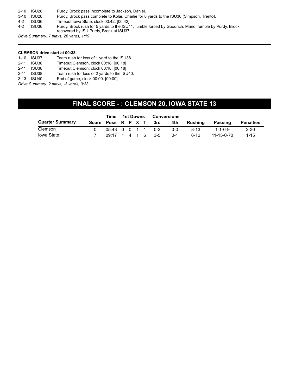| $2 - 10$ | ISU28 | Purdy, Brock pass incomplete to Jackson, Daniel.                                                                                                |
|----------|-------|-------------------------------------------------------------------------------------------------------------------------------------------------|
| 3-10     | ISU28 | Purdy, Brock pass complete to Kolar, Charlie for 8 yards to the ISU36 (Simpson, Trento).                                                        |
| $4-2$    | ISU36 | Timeout Iowa State, clock 00:42, [00:42]                                                                                                        |
| 4-2      | ISU36 | Purdy, Brock rush for 5 yards to the ISU41, fumble forced by Goodrich, Mario, fumble by Purdy, Brock<br>recovered by ISU Purdy, Brock at ISU37. |
|          |       |                                                                                                                                                 |

*Drive Summary: 7 plays, 26 yards, 1:19*

#### **CLEMSON drive start at 00:33.**

| $1 - 10$                               | ISU37 | Team rush for loss of 1 yard to the ISU38.  |  |  |  |  |  |  |
|----------------------------------------|-------|---------------------------------------------|--|--|--|--|--|--|
| $2 - 11$                               | ISU38 | Timeout Clemson, clock 00:18, [00:18]       |  |  |  |  |  |  |
| $2 - 11$                               | ISU38 | Timeout Clemson, clock 00:18, [00:18]       |  |  |  |  |  |  |
| $2 - 11$                               | ISU38 | Team rush for loss of 2 yards to the ISU40. |  |  |  |  |  |  |
| $3 - 13$                               | ISU40 | End of game, clock 00:00. [00:00]           |  |  |  |  |  |  |
| Drive Summary: 2 plays, -3 yards, 0:33 |       |                                             |  |  |  |  |  |  |

**FINAL SCORE - : CLEMSON 20, IOWA STATE 13**

|                        |                    | Time                |  | 1st Downs |  | <b>Conversions</b> |         |         |                 |                  |  |
|------------------------|--------------------|---------------------|--|-----------|--|--------------------|---------|---------|-----------------|------------------|--|
| <b>Quarter Summary</b> | Score Poss R P X T |                     |  |           |  | 3rd                | 4th     | Rushing | Passing         | <b>Penalties</b> |  |
| Clemson                |                    | 05:43 0 0 1 1 0-2   |  |           |  |                    | $0 - 0$ | $8-13$  | $1 - 1 - 0 - 9$ | $2 - 30$         |  |
| Iowa State             |                    | $09:17$ 1 4 1 6 3-5 |  |           |  |                    | $0 - 1$ | $6-12$  | 11-15-0-70      | $1 - 15$         |  |